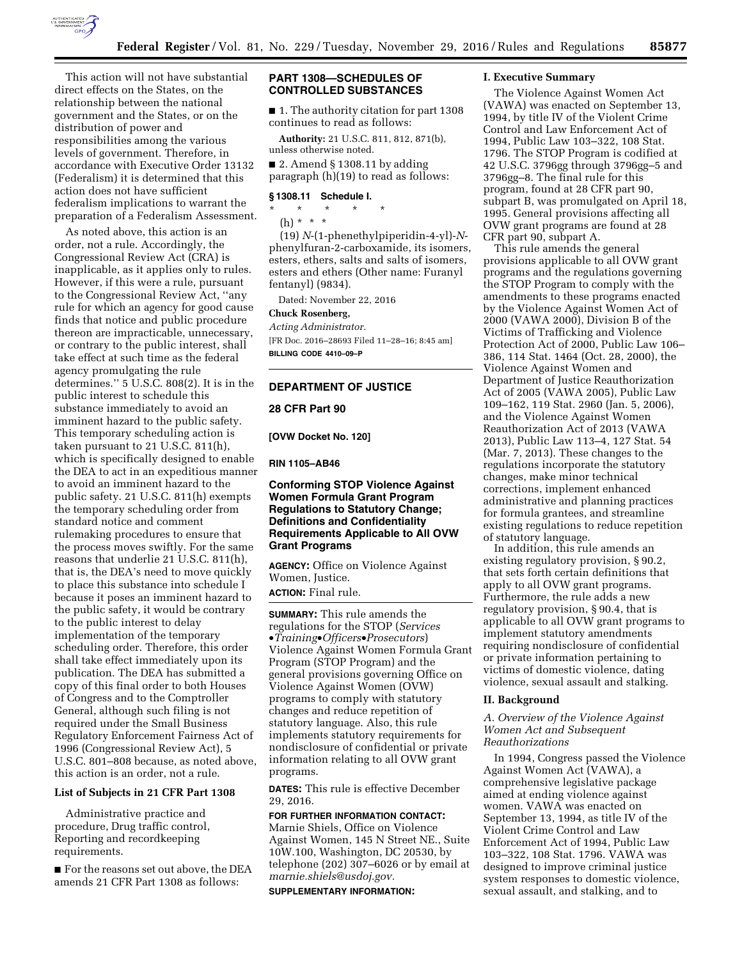

This action will not have substantial direct effects on the States, on the relationship between the national government and the States, or on the distribution of power and responsibilities among the various levels of government. Therefore, in accordance with Executive Order 13132 (Federalism) it is determined that this action does not have sufficient federalism implications to warrant the preparation of a Federalism Assessment.

As noted above, this action is an order, not a rule. Accordingly, the Congressional Review Act (CRA) is inapplicable, as it applies only to rules. However, if this were a rule, pursuant to the Congressional Review Act, ''any rule for which an agency for good cause finds that notice and public procedure thereon are impracticable, unnecessary, or contrary to the public interest, shall take effect at such time as the federal agency promulgating the rule determines.'' 5 U.S.C. 808(2). It is in the public interest to schedule this substance immediately to avoid an imminent hazard to the public safety. This temporary scheduling action is taken pursuant to 21 U.S.C. 811(h), which is specifically designed to enable the DEA to act in an expeditious manner to avoid an imminent hazard to the public safety. 21 U.S.C. 811(h) exempts the temporary scheduling order from standard notice and comment rulemaking procedures to ensure that the process moves swiftly. For the same reasons that underlie 21 U.S.C. 811(h), that is, the DEA's need to move quickly to place this substance into schedule I because it poses an imminent hazard to the public safety, it would be contrary to the public interest to delay implementation of the temporary scheduling order. Therefore, this order shall take effect immediately upon its publication. The DEA has submitted a copy of this final order to both Houses of Congress and to the Comptroller General, although such filing is not required under the Small Business Regulatory Enforcement Fairness Act of 1996 (Congressional Review Act), 5 U.S.C. 801–808 because, as noted above, this action is an order, not a rule.

# **List of Subjects in 21 CFR Part 1308**

Administrative practice and procedure, Drug traffic control, Reporting and recordkeeping requirements.

■ For the reasons set out above, the DEA amends 21 CFR Part 1308 as follows:

# **PART 1308—SCHEDULES OF CONTROLLED SUBSTANCES**

■ 1. The authority citation for part 1308 continues to read as follows:

**Authority:** 21 U.S.C. 811, 812, 871(b), unless otherwise noted.

 $\blacksquare$  2. Amend § 1308.11 by adding paragraph (h)(19) to read as follows:

#### **§ 1308.11 Schedule I.**

- \* \* \* \* \*
	- (h) \* \* \*

(19) *N*-(1-phenethylpiperidin-4-yl)-*N*phenylfuran-2-carboxamide, its isomers, esters, ethers, salts and salts of isomers, esters and ethers (Other name: Furanyl fentanyl) (9834).

Dated: November 22, 2016

#### **Chuck Rosenberg,**

*Acting Administrator.* 

[FR Doc. 2016–28693 Filed 11–28–16; 8:45 am] **BILLING CODE 4410–09–P** 

# **DEPARTMENT OF JUSTICE**

## **28 CFR Part 90**

**[OVW Docket No. 120]** 

**RIN 1105–AB46** 

# **Conforming STOP Violence Against Women Formula Grant Program Regulations to Statutory Change; Definitions and Confidentiality Requirements Applicable to All OVW Grant Programs**

**AGENCY:** Office on Violence Against Women, Justice.

# **ACTION:** Final rule.

**SUMMARY:** This rule amends the regulations for the STOP (*Services* •*Training*•*Officers*•*Prosecutors*) Violence Against Women Formula Grant Program (STOP Program) and the general provisions governing Office on Violence Against Women (OVW) programs to comply with statutory changes and reduce repetition of statutory language. Also, this rule implements statutory requirements for nondisclosure of confidential or private information relating to all OVW grant programs.

**DATES:** This rule is effective December 29, 2016.

### **FOR FURTHER INFORMATION CONTACT:**

Marnie Shiels, Office on Violence Against Women, 145 N Street NE., Suite 10W.100, Washington, DC 20530, by telephone (202) 307–6026 or by email at *[marnie.shiels@usdoj.gov.](mailto:marnie.shiels@usdoj.gov)* 

#### **SUPPLEMENTARY INFORMATION:**

## **I. Executive Summary**

The Violence Against Women Act (VAWA) was enacted on September 13, 1994, by title IV of the Violent Crime Control and Law Enforcement Act of 1994, Public Law 103–322, 108 Stat. 1796. The STOP Program is codified at 42 U.S.C. 3796gg through 3796gg–5 and 3796gg–8. The final rule for this program, found at 28 CFR part 90, subpart B, was promulgated on April 18, 1995. General provisions affecting all OVW grant programs are found at 28 CFR part 90, subpart A.

This rule amends the general provisions applicable to all OVW grant programs and the regulations governing the STOP Program to comply with the amendments to these programs enacted by the Violence Against Women Act of 2000 (VAWA 2000), Division B of the Victims of Trafficking and Violence Protection Act of 2000, Public Law 106– 386, 114 Stat. 1464 (Oct. 28, 2000), the Violence Against Women and Department of Justice Reauthorization Act of 2005 (VAWA 2005), Public Law 109–162, 119 Stat. 2960 (Jan. 5, 2006), and the Violence Against Women Reauthorization Act of 2013 (VAWA 2013), Public Law 113–4, 127 Stat. 54 (Mar. 7, 2013). These changes to the regulations incorporate the statutory changes, make minor technical corrections, implement enhanced administrative and planning practices for formula grantees, and streamline existing regulations to reduce repetition of statutory language.

In addition, this rule amends an existing regulatory provision, § 90.2, that sets forth certain definitions that apply to all OVW grant programs. Furthermore, the rule adds a new regulatory provision, § 90.4, that is applicable to all OVW grant programs to implement statutory amendments requiring nondisclosure of confidential or private information pertaining to victims of domestic violence, dating violence, sexual assault and stalking.

# **II. Background**

*A. Overview of the Violence Against Women Act and Subsequent Reauthorizations* 

In 1994, Congress passed the Violence Against Women Act (VAWA), a comprehensive legislative package aimed at ending violence against women. VAWA was enacted on September 13, 1994, as title IV of the Violent Crime Control and Law Enforcement Act of 1994, Public Law 103–322, 108 Stat. 1796. VAWA was designed to improve criminal justice system responses to domestic violence, sexual assault, and stalking, and to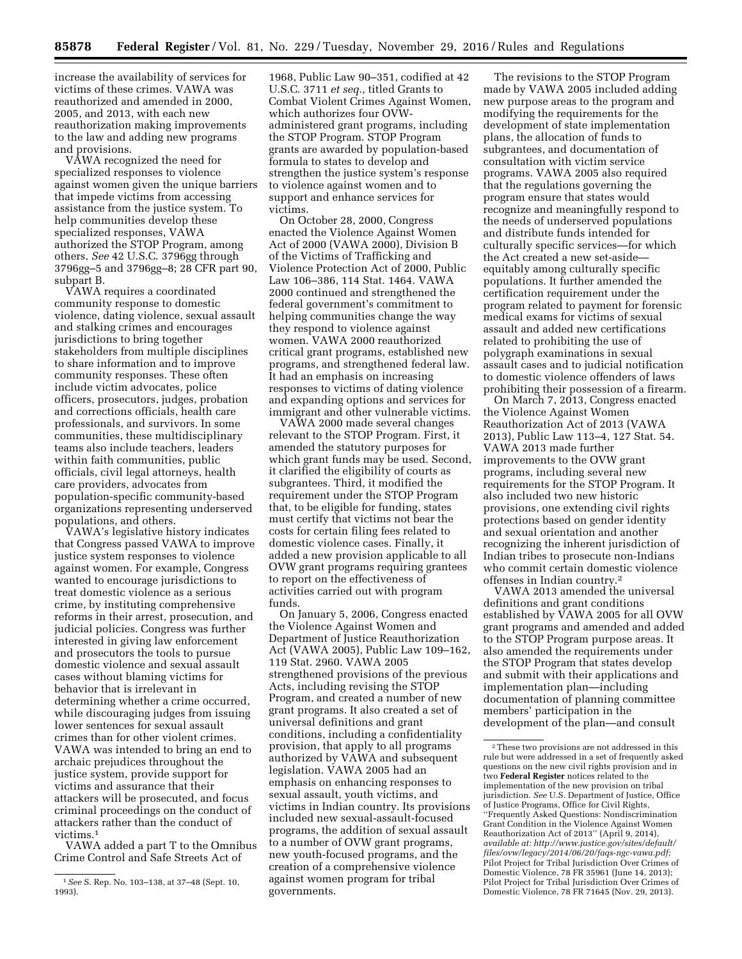increase the availability of services for victims of these crimes. VAWA was reauthorized and amended in 2000, 2005, and 2013, with each new reauthorization making improvements to the law and adding new programs and provisions.

VAWA recognized the need for specialized responses to violence against women given the unique barriers that impede victims from accessing assistance from the justice system. To help communities develop these specialized responses, VAWA authorized the STOP Program, among others. *See* 42 U.S.C. 3796gg through 3796gg–5 and 3796gg–8; 28 CFR part 90, subpart B.

VAWA requires a coordinated community response to domestic violence, dating violence, sexual assault and stalking crimes and encourages jurisdictions to bring together stakeholders from multiple disciplines to share information and to improve community responses. These often include victim advocates, police officers, prosecutors, judges, probation and corrections officials, health care professionals, and survivors. In some communities, these multidisciplinary teams also include teachers, leaders within faith communities, public officials, civil legal attorneys, health care providers, advocates from population-specific community-based organizations representing underserved populations, and others.

VAWA's legislative history indicates that Congress passed VAWA to improve justice system responses to violence against women. For example, Congress wanted to encourage jurisdictions to treat domestic violence as a serious crime, by instituting comprehensive reforms in their arrest, prosecution, and judicial policies. Congress was further interested in giving law enforcement and prosecutors the tools to pursue domestic violence and sexual assault cases without blaming victims for behavior that is irrelevant in determining whether a crime occurred, while discouraging judges from issuing lower sentences for sexual assault crimes than for other violent crimes. VAWA was intended to bring an end to archaic prejudices throughout the justice system, provide support for victims and assurance that their attackers will be prosecuted, and focus criminal proceedings on the conduct of attackers rather than the conduct of victims.1

VAWA added a part T to the Omnibus Crime Control and Safe Streets Act of

1968, Public Law 90–351, codified at 42 U.S.C. 3711 *et seq.,* titled Grants to Combat Violent Crimes Against Women, which authorizes four OVWadministered grant programs, including the STOP Program. STOP Program grants are awarded by population-based formula to states to develop and strengthen the justice system's response to violence against women and to support and enhance services for victims.

On October 28, 2000, Congress enacted the Violence Against Women Act of 2000 (VAWA 2000), Division B of the Victims of Trafficking and Violence Protection Act of 2000, Public Law 106–386, 114 Stat. 1464. VAWA 2000 continued and strengthened the federal government's commitment to helping communities change the way they respond to violence against women. VAWA 2000 reauthorized critical grant programs, established new programs, and strengthened federal law. It had an emphasis on increasing responses to victims of dating violence and expanding options and services for immigrant and other vulnerable victims.

VAWA 2000 made several changes relevant to the STOP Program. First, it amended the statutory purposes for which grant funds may be used. Second, it clarified the eligibility of courts as subgrantees. Third, it modified the requirement under the STOP Program that, to be eligible for funding, states must certify that victims not bear the costs for certain filing fees related to domestic violence cases. Finally, it added a new provision applicable to all OVW grant programs requiring grantees to report on the effectiveness of activities carried out with program funds.

On January 5, 2006, Congress enacted the Violence Against Women and Department of Justice Reauthorization Act (VAWA 2005), Public Law 109–162, 119 Stat. 2960. VAWA 2005 strengthened provisions of the previous Acts, including revising the STOP Program, and created a number of new grant programs. It also created a set of universal definitions and grant conditions, including a confidentiality provision, that apply to all programs authorized by VAWA and subsequent legislation. VAWA 2005 had an emphasis on enhancing responses to sexual assault, youth victims, and victims in Indian country. Its provisions included new sexual-assault-focused programs, the addition of sexual assault to a number of OVW grant programs, new youth-focused programs, and the creation of a comprehensive violence against women program for tribal governments.

The revisions to the STOP Program made by VAWA 2005 included adding new purpose areas to the program and modifying the requirements for the development of state implementation plans, the allocation of funds to subgrantees, and documentation of consultation with victim service programs. VAWA 2005 also required that the regulations governing the program ensure that states would recognize and meaningfully respond to the needs of underserved populations and distribute funds intended for culturally specific services—for which the Act created a new set-aside equitably among culturally specific populations. It further amended the certification requirement under the program related to payment for forensic medical exams for victims of sexual assault and added new certifications related to prohibiting the use of polygraph examinations in sexual assault cases and to judicial notification to domestic violence offenders of laws prohibiting their possession of a firearm.

On March 7, 2013, Congress enacted the Violence Against Women Reauthorization Act of 2013 (VAWA 2013), Public Law 113–4, 127 Stat. 54. VAWA 2013 made further improvements to the OVW grant programs, including several new requirements for the STOP Program. It also included two new historic provisions, one extending civil rights protections based on gender identity and sexual orientation and another recognizing the inherent jurisdiction of Indian tribes to prosecute non-Indians who commit certain domestic violence offenses in Indian country.2

VAWA 2013 amended the universal definitions and grant conditions established by VAWA 2005 for all OVW grant programs and amended and added to the STOP Program purpose areas. It also amended the requirements under the STOP Program that states develop and submit with their applications and implementation plan—including documentation of planning committee members' participation in the development of the plan—and consult

<sup>1</sup>*See* S. Rep. No. 103–138, at 37–48 (Sept. 10, 1993).

<sup>2</sup>These two provisions are not addressed in this rule but were addressed in a set of frequently asked questions on the new civil rights provision and in two **Federal Register** notices related to the implementation of the new provision on tribal jurisdiction. *See* U.S. Department of Justice, Office of Justice Programs, Office for Civil Rights, ''Frequently Asked Questions: Nondiscrimination Grant Condition in the Violence Against Women Reauthorization Act of 2013'' (April 9, 2014), *available at: [http://www.justice.gov/sites/default/](http://www.justice.gov/sites/default/files/ovw/legacy/2014/06/20/faqs-ngc-vawa.pdf) [files/ovw/legacy/2014/06/20/faqs-ngc-vawa.pdf;](http://www.justice.gov/sites/default/files/ovw/legacy/2014/06/20/faqs-ngc-vawa.pdf)*  Pilot Project for Tribal Jurisdiction Over Crimes of Domestic Violence, 78 FR 35961 (June 14, 2013); Pilot Project for Tribal Jurisdiction Over Crimes of Domestic Violence, 78 FR 71645 (Nov. 29, 2013).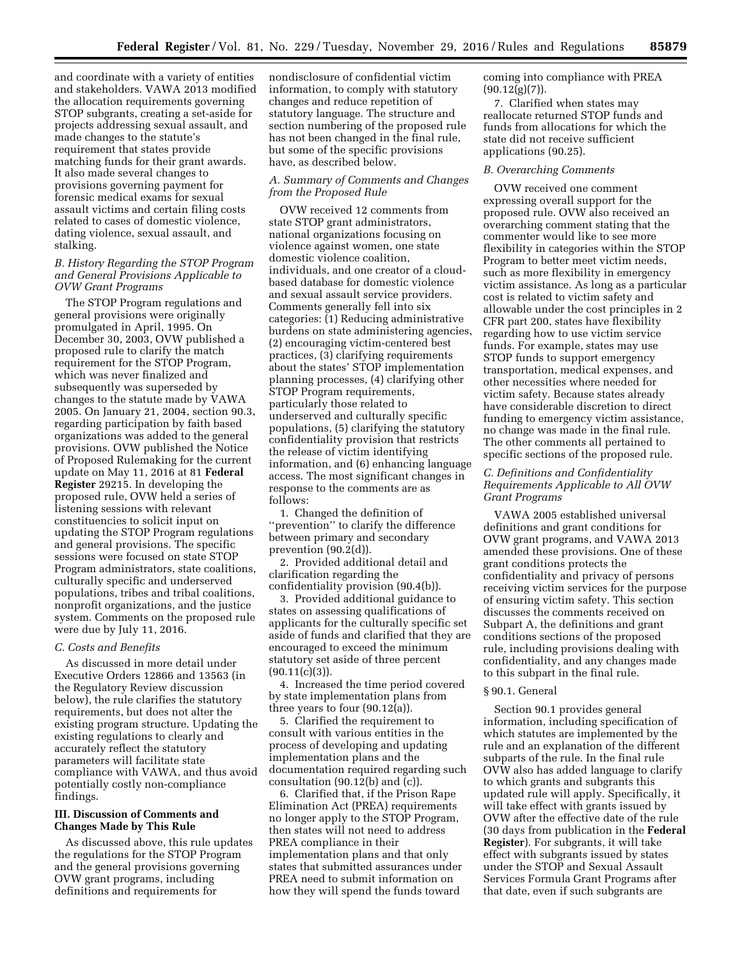and coordinate with a variety of entities and stakeholders. VAWA 2013 modified the allocation requirements governing STOP subgrants, creating a set-aside for projects addressing sexual assault, and made changes to the statute's requirement that states provide matching funds for their grant awards. It also made several changes to provisions governing payment for forensic medical exams for sexual assault victims and certain filing costs related to cases of domestic violence, dating violence, sexual assault, and stalking.

## *B. History Regarding the STOP Program and General Provisions Applicable to OVW Grant Programs*

The STOP Program regulations and general provisions were originally promulgated in April, 1995. On December 30, 2003, OVW published a proposed rule to clarify the match requirement for the STOP Program, which was never finalized and subsequently was superseded by changes to the statute made by VAWA 2005. On January 21, 2004, section 90.3, regarding participation by faith based organizations was added to the general provisions. OVW published the Notice of Proposed Rulemaking for the current update on May 11, 2016 at 81 **Federal Register** 29215. In developing the proposed rule, OVW held a series of listening sessions with relevant constituencies to solicit input on updating the STOP Program regulations and general provisions. The specific sessions were focused on state STOP Program administrators, state coalitions, culturally specific and underserved populations, tribes and tribal coalitions, nonprofit organizations, and the justice system. Comments on the proposed rule were due by July 11, 2016.

#### *C. Costs and Benefits*

As discussed in more detail under Executive Orders 12866 and 13563 (in the Regulatory Review discussion below), the rule clarifies the statutory requirements, but does not alter the existing program structure. Updating the existing regulations to clearly and accurately reflect the statutory parameters will facilitate state compliance with VAWA, and thus avoid potentially costly non-compliance findings.

## **III. Discussion of Comments and Changes Made by This Rule**

As discussed above, this rule updates the regulations for the STOP Program and the general provisions governing OVW grant programs, including definitions and requirements for

nondisclosure of confidential victim information, to comply with statutory changes and reduce repetition of statutory language. The structure and section numbering of the proposed rule has not been changed in the final rule, but some of the specific provisions have, as described below.

## *A. Summary of Comments and Changes from the Proposed Rule*

OVW received 12 comments from state STOP grant administrators, national organizations focusing on violence against women, one state domestic violence coalition, individuals, and one creator of a cloudbased database for domestic violence and sexual assault service providers. Comments generally fell into six categories: (1) Reducing administrative burdens on state administering agencies, (2) encouraging victim-centered best practices, (3) clarifying requirements about the states' STOP implementation planning processes, (4) clarifying other STOP Program requirements, particularly those related to underserved and culturally specific populations, (5) clarifying the statutory confidentiality provision that restricts the release of victim identifying information, and (6) enhancing language access. The most significant changes in response to the comments are as follows:

1. Changed the definition of ''prevention'' to clarify the difference between primary and secondary prevention (90.2(d)).

2. Provided additional detail and clarification regarding the confidentiality provision (90.4(b)).

3. Provided additional guidance to states on assessing qualifications of applicants for the culturally specific set aside of funds and clarified that they are encouraged to exceed the minimum statutory set aside of three percent  $(90.11(c)(3))$ .

4. Increased the time period covered by state implementation plans from three years to four (90.12(a)).

5. Clarified the requirement to consult with various entities in the process of developing and updating implementation plans and the documentation required regarding such consultation (90.12(b) and (c)).

6. Clarified that, if the Prison Rape Elimination Act (PREA) requirements no longer apply to the STOP Program, then states will not need to address PREA compliance in their implementation plans and that only states that submitted assurances under PREA need to submit information on how they will spend the funds toward

coming into compliance with PREA  $(90.12(g)(7))$ .

7. Clarified when states may reallocate returned STOP funds and funds from allocations for which the state did not receive sufficient applications (90.25).

# *B. Overarching Comments*

OVW received one comment expressing overall support for the proposed rule. OVW also received an overarching comment stating that the commenter would like to see more flexibility in categories within the STOP Program to better meet victim needs, such as more flexibility in emergency victim assistance. As long as a particular cost is related to victim safety and allowable under the cost principles in 2 CFR part 200, states have flexibility regarding how to use victim service funds. For example, states may use STOP funds to support emergency transportation, medical expenses, and other necessities where needed for victim safety. Because states already have considerable discretion to direct funding to emergency victim assistance, no change was made in the final rule. The other comments all pertained to specific sections of the proposed rule.

# *C. Definitions and Confidentiality Requirements Applicable to All OVW Grant Programs*

VAWA 2005 established universal definitions and grant conditions for OVW grant programs, and VAWA 2013 amended these provisions. One of these grant conditions protects the confidentiality and privacy of persons receiving victim services for the purpose of ensuring victim safety. This section discusses the comments received on Subpart A, the definitions and grant conditions sections of the proposed rule, including provisions dealing with confidentiality, and any changes made to this subpart in the final rule.

#### § 90.1. General

Section 90.1 provides general information, including specification of which statutes are implemented by the rule and an explanation of the different subparts of the rule. In the final rule OVW also has added language to clarify to which grants and subgrants this updated rule will apply. Specifically, it will take effect with grants issued by OVW after the effective date of the rule (30 days from publication in the **Federal Register**). For subgrants, it will take effect with subgrants issued by states under the STOP and Sexual Assault Services Formula Grant Programs after that date, even if such subgrants are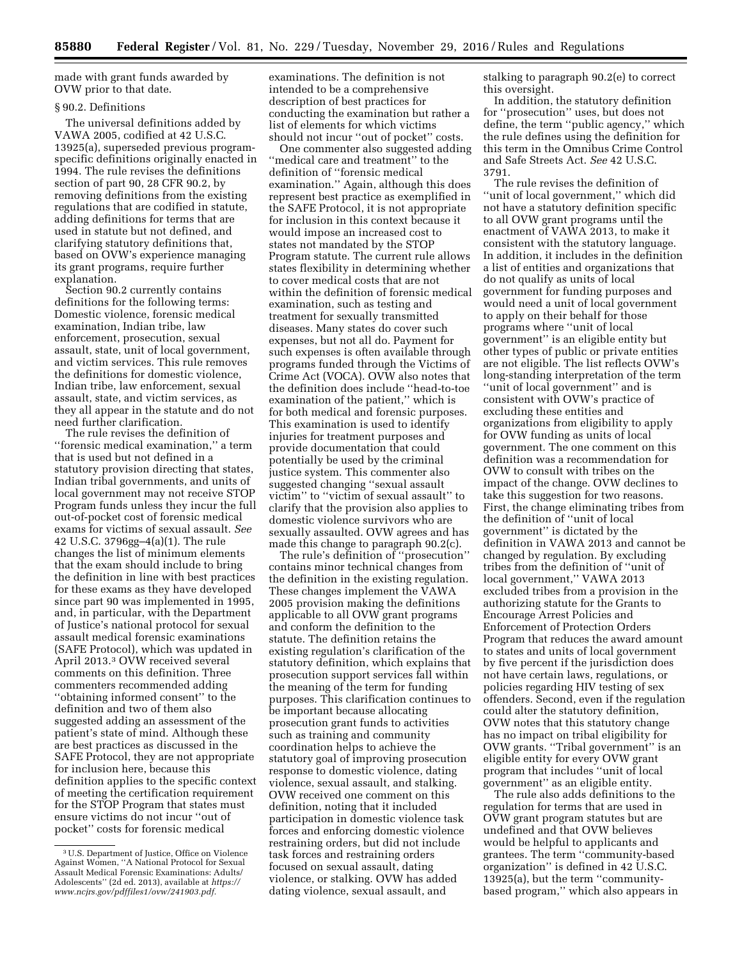made with grant funds awarded by OVW prior to that date.

# § 90.2. Definitions

The universal definitions added by VAWA 2005, codified at 42 U.S.C. 13925(a), superseded previous programspecific definitions originally enacted in 1994. The rule revises the definitions section of part 90, 28 CFR 90.2, by removing definitions from the existing regulations that are codified in statute, adding definitions for terms that are used in statute but not defined, and clarifying statutory definitions that, based on OVW's experience managing its grant programs, require further explanation.

Section 90.2 currently contains definitions for the following terms: Domestic violence, forensic medical examination, Indian tribe, law enforcement, prosecution, sexual assault, state, unit of local government, and victim services. This rule removes the definitions for domestic violence, Indian tribe, law enforcement, sexual assault, state, and victim services, as they all appear in the statute and do not need further clarification.

The rule revises the definition of ''forensic medical examination,'' a term that is used but not defined in a statutory provision directing that states, Indian tribal governments, and units of local government may not receive STOP Program funds unless they incur the full out-of-pocket cost of forensic medical exams for victims of sexual assault. *See*  42 U.S.C. 3796gg–4(a)(1). The rule changes the list of minimum elements that the exam should include to bring the definition in line with best practices for these exams as they have developed since part 90 was implemented in 1995, and, in particular, with the Department of Justice's national protocol for sexual assault medical forensic examinations (SAFE Protocol), which was updated in April 2013.3 OVW received several comments on this definition. Three commenters recommended adding ''obtaining informed consent'' to the definition and two of them also suggested adding an assessment of the patient's state of mind. Although these are best practices as discussed in the SAFE Protocol, they are not appropriate for inclusion here, because this definition applies to the specific context of meeting the certification requirement for the STOP Program that states must ensure victims do not incur ''out of pocket'' costs for forensic medical

examinations. The definition is not intended to be a comprehensive description of best practices for conducting the examination but rather a list of elements for which victims should not incur ''out of pocket'' costs.

One commenter also suggested adding ''medical care and treatment'' to the definition of ''forensic medical examination.'' Again, although this does represent best practice as exemplified in the SAFE Protocol, it is not appropriate for inclusion in this context because it would impose an increased cost to states not mandated by the STOP Program statute. The current rule allows states flexibility in determining whether to cover medical costs that are not within the definition of forensic medical examination, such as testing and treatment for sexually transmitted diseases. Many states do cover such expenses, but not all do. Payment for such expenses is often available through programs funded through the Victims of Crime Act (VOCA). OVW also notes that the definition does include ''head-to-toe examination of the patient,'' which is for both medical and forensic purposes. This examination is used to identify injuries for treatment purposes and provide documentation that could potentially be used by the criminal justice system. This commenter also suggested changing ''sexual assault victim'' to ''victim of sexual assault'' to clarify that the provision also applies to domestic violence survivors who are sexually assaulted. OVW agrees and has made this change to paragraph 90.2(c).

The rule's definition of ''prosecution'' contains minor technical changes from the definition in the existing regulation. These changes implement the VAWA 2005 provision making the definitions applicable to all OVW grant programs and conform the definition to the statute. The definition retains the existing regulation's clarification of the statutory definition, which explains that prosecution support services fall within the meaning of the term for funding purposes. This clarification continues to be important because allocating prosecution grant funds to activities such as training and community coordination helps to achieve the statutory goal of improving prosecution response to domestic violence, dating violence, sexual assault, and stalking. OVW received one comment on this definition, noting that it included participation in domestic violence task forces and enforcing domestic violence restraining orders, but did not include task forces and restraining orders focused on sexual assault, dating violence, or stalking. OVW has added dating violence, sexual assault, and

stalking to paragraph 90.2(e) to correct this oversight.

In addition, the statutory definition for ''prosecution'' uses, but does not define, the term ''public agency,'' which the rule defines using the definition for this term in the Omnibus Crime Control and Safe Streets Act. *See* 42 U.S.C. 3791.

The rule revises the definition of ''unit of local government,'' which did not have a statutory definition specific to all OVW grant programs until the enactment of VAWA 2013, to make it consistent with the statutory language. In addition, it includes in the definition a list of entities and organizations that do not qualify as units of local government for funding purposes and would need a unit of local government to apply on their behalf for those programs where ''unit of local government'' is an eligible entity but other types of public or private entities are not eligible. The list reflects OVW's long-standing interpretation of the term ''unit of local government'' and is consistent with OVW's practice of excluding these entities and organizations from eligibility to apply for OVW funding as units of local government. The one comment on this definition was a recommendation for OVW to consult with tribes on the impact of the change. OVW declines to take this suggestion for two reasons. First, the change eliminating tribes from the definition of ''unit of local government'' is dictated by the definition in VAWA 2013 and cannot be changed by regulation. By excluding tribes from the definition of ''unit of local government,'' VAWA 2013 excluded tribes from a provision in the authorizing statute for the Grants to Encourage Arrest Policies and Enforcement of Protection Orders Program that reduces the award amount to states and units of local government by five percent if the jurisdiction does not have certain laws, regulations, or policies regarding HIV testing of sex offenders. Second, even if the regulation could alter the statutory definition, OVW notes that this statutory change has no impact on tribal eligibility for OVW grants. ''Tribal government'' is an eligible entity for every OVW grant program that includes ''unit of local government'' as an eligible entity.

The rule also adds definitions to the regulation for terms that are used in OVW grant program statutes but are undefined and that OVW believes would be helpful to applicants and grantees. The term ''community-based organization'' is defined in 42 U.S.C. 13925(a), but the term ''communitybased program,'' which also appears in

<sup>3</sup>U.S. Department of Justice, Office on Violence Against Women, ''A National Protocol for Sexual Assault Medical Forensic Examinations: Adults/ Adolescents'' (2d ed. 2013), available at *[https://](https://www.ncjrs.gov/pdffiles1/ovw/241903.pdf) [www.ncjrs.gov/pdffiles1/ovw/241903.pdf.](https://www.ncjrs.gov/pdffiles1/ovw/241903.pdf)*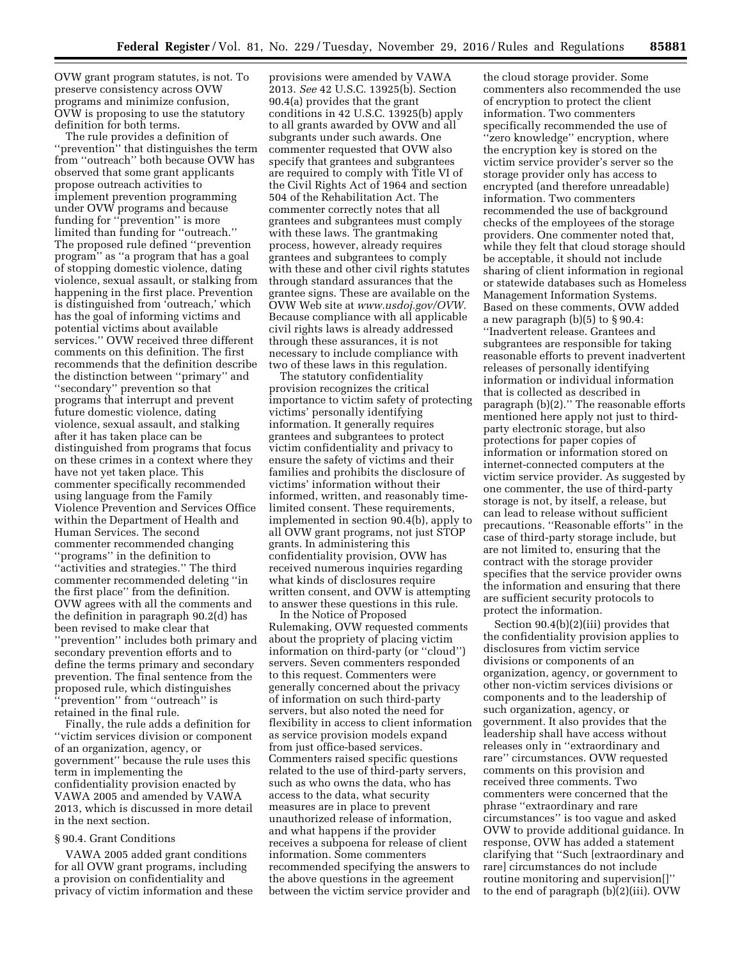OVW grant program statutes, is not. To preserve consistency across OVW programs and minimize confusion, OVW is proposing to use the statutory definition for both terms.

The rule provides a definition of ''prevention'' that distinguishes the term from ''outreach'' both because OVW has observed that some grant applicants propose outreach activities to implement prevention programming under OVW programs and because funding for ''prevention'' is more limited than funding for ''outreach.'' The proposed rule defined ''prevention program'' as ''a program that has a goal of stopping domestic violence, dating violence, sexual assault, or stalking from happening in the first place. Prevention is distinguished from 'outreach,' which has the goal of informing victims and potential victims about available services.'' OVW received three different comments on this definition. The first recommends that the definition describe the distinction between ''primary'' and ''secondary'' prevention so that programs that interrupt and prevent future domestic violence, dating violence, sexual assault, and stalking after it has taken place can be distinguished from programs that focus on these crimes in a context where they have not yet taken place. This commenter specifically recommended using language from the Family Violence Prevention and Services Office within the Department of Health and Human Services. The second commenter recommended changing ''programs'' in the definition to "activities and strategies." The third commenter recommended deleting ''in the first place'' from the definition. OVW agrees with all the comments and the definition in paragraph 90.2(d) has been revised to make clear that ''prevention'' includes both primary and secondary prevention efforts and to define the terms primary and secondary prevention. The final sentence from the proposed rule, which distinguishes ''prevention'' from ''outreach'' is retained in the final rule.

Finally, the rule adds a definition for ''victim services division or component of an organization, agency, or government'' because the rule uses this term in implementing the confidentiality provision enacted by VAWA 2005 and amended by VAWA 2013, which is discussed in more detail in the next section.

## § 90.4. Grant Conditions

VAWA 2005 added grant conditions for all OVW grant programs, including a provision on confidentiality and privacy of victim information and these

provisions were amended by VAWA 2013. *See* 42 U.S.C. 13925(b). Section 90.4(a) provides that the grant conditions in 42 U.S.C. 13925(b) apply to all grants awarded by OVW and all subgrants under such awards. One commenter requested that OVW also specify that grantees and subgrantees are required to comply with Title VI of the Civil Rights Act of 1964 and section 504 of the Rehabilitation Act. The commenter correctly notes that all grantees and subgrantees must comply with these laws. The grantmaking process, however, already requires grantees and subgrantees to comply with these and other civil rights statutes through standard assurances that the grantee signs. These are available on the OVW Web site at *[www.usdoj.gov/OVW.](http://www.usdoj.gov/OVW)*  Because compliance with all applicable civil rights laws is already addressed through these assurances, it is not necessary to include compliance with two of these laws in this regulation.

The statutory confidentiality provision recognizes the critical importance to victim safety of protecting victims' personally identifying information. It generally requires grantees and subgrantees to protect victim confidentiality and privacy to ensure the safety of victims and their families and prohibits the disclosure of victims' information without their informed, written, and reasonably timelimited consent. These requirements, implemented in section 90.4(b), apply to all OVW grant programs, not just STOP grants. In administering this confidentiality provision, OVW has received numerous inquiries regarding what kinds of disclosures require written consent, and OVW is attempting to answer these questions in this rule.

In the Notice of Proposed Rulemaking, OVW requested comments about the propriety of placing victim information on third-party (or ''cloud'') servers. Seven commenters responded to this request. Commenters were generally concerned about the privacy of information on such third-party servers, but also noted the need for flexibility in access to client information as service provision models expand from just office-based services. Commenters raised specific questions related to the use of third-party servers, such as who owns the data, who has access to the data, what security measures are in place to prevent unauthorized release of information, and what happens if the provider receives a subpoena for release of client information. Some commenters recommended specifying the answers to the above questions in the agreement between the victim service provider and

the cloud storage provider. Some commenters also recommended the use of encryption to protect the client information. Two commenters specifically recommended the use of ''zero knowledge'' encryption, where the encryption key is stored on the victim service provider's server so the storage provider only has access to encrypted (and therefore unreadable) information. Two commenters recommended the use of background checks of the employees of the storage providers. One commenter noted that, while they felt that cloud storage should be acceptable, it should not include sharing of client information in regional or statewide databases such as Homeless Management Information Systems. Based on these comments, OVW added a new paragraph (b)(5) to § 90.4: ''Inadvertent release. Grantees and subgrantees are responsible for taking reasonable efforts to prevent inadvertent releases of personally identifying information or individual information that is collected as described in paragraph (b)(2).'' The reasonable efforts mentioned here apply not just to thirdparty electronic storage, but also protections for paper copies of information or information stored on internet-connected computers at the victim service provider. As suggested by one commenter, the use of third-party storage is not, by itself, a release, but can lead to release without sufficient precautions. ''Reasonable efforts'' in the case of third-party storage include, but are not limited to, ensuring that the contract with the storage provider specifies that the service provider owns the information and ensuring that there are sufficient security protocols to protect the information.

Section 90.4(b)(2)(iii) provides that the confidentiality provision applies to disclosures from victim service divisions or components of an organization, agency, or government to other non-victim services divisions or components and to the leadership of such organization, agency, or government. It also provides that the leadership shall have access without releases only in ''extraordinary and rare'' circumstances. OVW requested comments on this provision and received three comments. Two commenters were concerned that the phrase ''extraordinary and rare circumstances'' is too vague and asked OVW to provide additional guidance. In response, OVW has added a statement clarifying that ''Such [extraordinary and rare] circumstances do not include routine monitoring and supervision[]'' to the end of paragraph (b)(2)(iii). OVW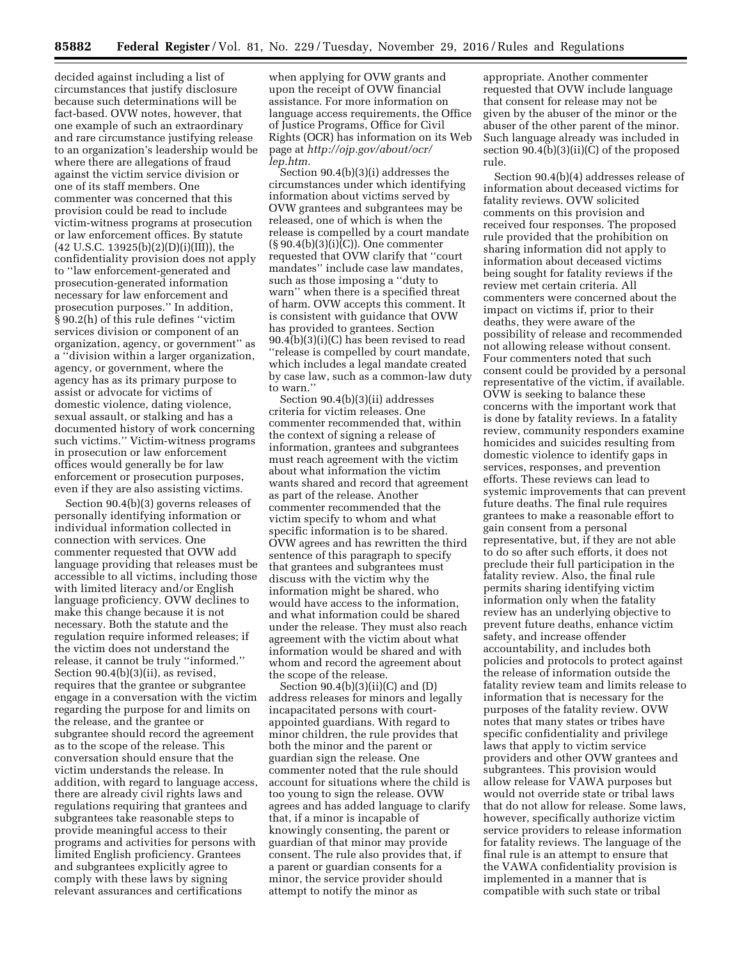decided against including a list of circumstances that justify disclosure because such determinations will be fact-based. OVW notes, however, that one example of such an extraordinary and rare circumstance justifying release to an organization's leadership would be where there are allegations of fraud against the victim service division or one of its staff members. One commenter was concerned that this provision could be read to include victim-witness programs at prosecution or law enforcement offices. By statute (42 U.S.C. 13925(b)(2)(D)(i)(III)), the confidentiality provision does not apply to ''law enforcement-generated and prosecution-generated information necessary for law enforcement and prosecution purposes.'' In addition, § 90.2(h) of this rule defines ''victim services division or component of an organization, agency, or government'' as a ''division within a larger organization, agency, or government, where the agency has as its primary purpose to assist or advocate for victims of domestic violence, dating violence, sexual assault, or stalking and has a documented history of work concerning such victims.'' Victim-witness programs in prosecution or law enforcement offices would generally be for law enforcement or prosecution purposes, even if they are also assisting victims.

Section 90.4(b)(3) governs releases of personally identifying information or individual information collected in connection with services. One commenter requested that OVW add language providing that releases must be accessible to all victims, including those with limited literacy and/or English language proficiency. OVW declines to make this change because it is not necessary. Both the statute and the regulation require informed releases; if the victim does not understand the release, it cannot be truly ''informed.'' Section 90.4(b)(3)(ii), as revised, requires that the grantee or subgrantee engage in a conversation with the victim regarding the purpose for and limits on the release, and the grantee or subgrantee should record the agreement as to the scope of the release. This conversation should ensure that the victim understands the release. In addition, with regard to language access, there are already civil rights laws and regulations requiring that grantees and subgrantees take reasonable steps to provide meaningful access to their programs and activities for persons with limited English proficiency. Grantees and subgrantees explicitly agree to comply with these laws by signing relevant assurances and certifications

when applying for OVW grants and upon the receipt of OVW financial assistance. For more information on language access requirements, the Office of Justice Programs, Office for Civil Rights (OCR) has information on its Web page at *[http://ojp.gov/about/ocr/](http://ojp.gov/about/ocr/lep.htm)  [lep.htm.](http://ojp.gov/about/ocr/lep.htm)* 

Section 90.4(b)(3)(i) addresses the circumstances under which identifying information about victims served by OVW grantees and subgrantees may be released, one of which is when the release is compelled by a court mandate (§ 90.4(b)(3)(i)(C)). One commenter requested that OVW clarify that ''court mandates'' include case law mandates, such as those imposing a ''duty to warn'' when there is a specified threat of harm. OVW accepts this comment. It is consistent with guidance that OVW has provided to grantees. Section 90.4(b)(3)(i)(C) has been revised to read ''release is compelled by court mandate, which includes a legal mandate created by case law, such as a common-law duty to warn.''

Section 90.4(b)(3)(ii) addresses criteria for victim releases. One commenter recommended that, within the context of signing a release of information, grantees and subgrantees must reach agreement with the victim about what information the victim wants shared and record that agreement as part of the release. Another commenter recommended that the victim specify to whom and what specific information is to be shared. OVW agrees and has rewritten the third sentence of this paragraph to specify that grantees and subgrantees must discuss with the victim why the information might be shared, who would have access to the information, and what information could be shared under the release. They must also reach agreement with the victim about what information would be shared and with whom and record the agreement about the scope of the release.

Section  $90.4(b)(3)(ii)(C)$  and  $(D)$ address releases for minors and legally incapacitated persons with courtappointed guardians. With regard to minor children, the rule provides that both the minor and the parent or guardian sign the release. One commenter noted that the rule should account for situations where the child is too young to sign the release. OVW agrees and has added language to clarify that, if a minor is incapable of knowingly consenting, the parent or guardian of that minor may provide consent. The rule also provides that, if a parent or guardian consents for a minor, the service provider should attempt to notify the minor as

appropriate. Another commenter requested that OVW include language that consent for release may not be given by the abuser of the minor or the abuser of the other parent of the minor. Such language already was included in section 90.4(b)(3)(ii)(C) of the proposed rule.

Section 90.4(b)(4) addresses release of information about deceased victims for fatality reviews. OVW solicited comments on this provision and received four responses. The proposed rule provided that the prohibition on sharing information did not apply to information about deceased victims being sought for fatality reviews if the review met certain criteria. All commenters were concerned about the impact on victims if, prior to their deaths, they were aware of the possibility of release and recommended not allowing release without consent. Four commenters noted that such consent could be provided by a personal representative of the victim, if available. OVW is seeking to balance these concerns with the important work that is done by fatality reviews. In a fatality review, community responders examine homicides and suicides resulting from domestic violence to identify gaps in services, responses, and prevention efforts. These reviews can lead to systemic improvements that can prevent future deaths. The final rule requires grantees to make a reasonable effort to gain consent from a personal representative, but, if they are not able to do so after such efforts, it does not preclude their full participation in the fatality review. Also, the final rule permits sharing identifying victim information only when the fatality review has an underlying objective to prevent future deaths, enhance victim safety, and increase offender accountability, and includes both policies and protocols to protect against the release of information outside the fatality review team and limits release to information that is necessary for the purposes of the fatality review. OVW notes that many states or tribes have specific confidentiality and privilege laws that apply to victim service providers and other OVW grantees and subgrantees. This provision would allow release for VAWA purposes but would not override state or tribal laws that do not allow for release. Some laws, however, specifically authorize victim service providers to release information for fatality reviews. The language of the final rule is an attempt to ensure that the VAWA confidentiality provision is implemented in a manner that is compatible with such state or tribal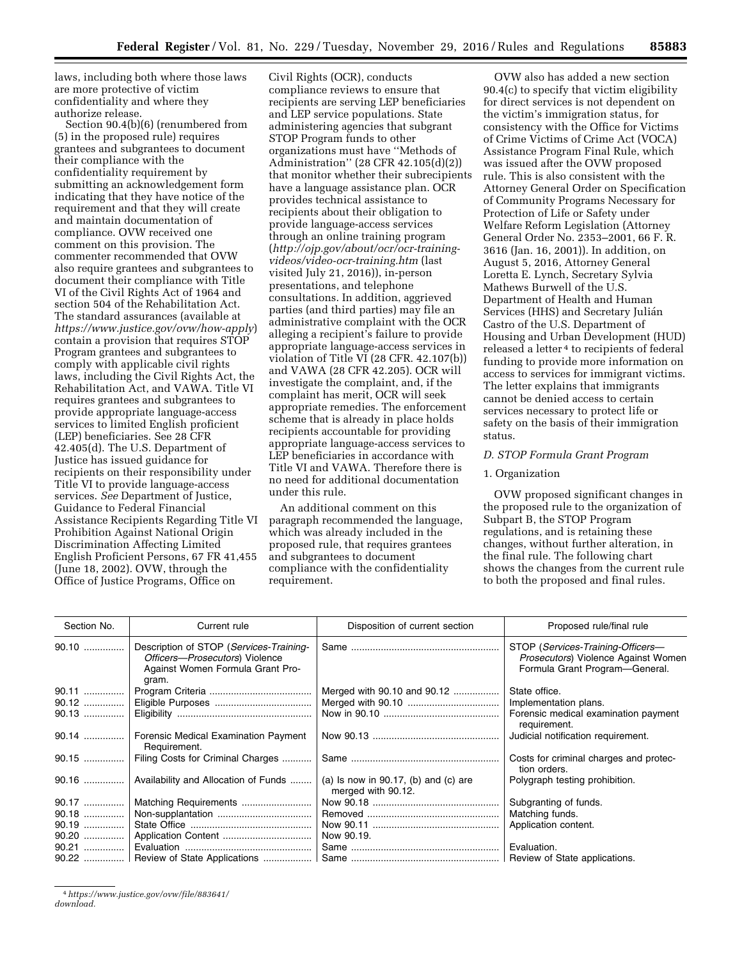laws, including both where those laws are more protective of victim confidentiality and where they authorize release.

Section 90.4(b)(6) (renumbered from (5) in the proposed rule) requires grantees and subgrantees to document their compliance with the confidentiality requirement by submitting an acknowledgement form indicating that they have notice of the requirement and that they will create and maintain documentation of compliance. OVW received one comment on this provision. The commenter recommended that OVW also require grantees and subgrantees to document their compliance with Title VI of the Civil Rights Act of 1964 and section 504 of the Rehabilitation Act. The standard assurances (available at *<https://www.justice.gov/ovw/how-apply>*) contain a provision that requires STOP Program grantees and subgrantees to comply with applicable civil rights laws, including the Civil Rights Act, the Rehabilitation Act, and VAWA. Title VI requires grantees and subgrantees to provide appropriate language-access services to limited English proficient (LEP) beneficiaries. See 28 CFR 42.405(d). The U.S. Department of Justice has issued guidance for recipients on their responsibility under Title VI to provide language-access services. *See* Department of Justice, Guidance to Federal Financial Assistance Recipients Regarding Title VI Prohibition Against National Origin Discrimination Affecting Limited English Proficient Persons, 67 FR 41,455 (June 18, 2002). OVW, through the Office of Justice Programs, Office on

Civil Rights (OCR), conducts compliance reviews to ensure that recipients are serving LEP beneficiaries and LEP service populations. State administering agencies that subgrant STOP Program funds to other organizations must have ''Methods of Administration'' (28 CFR 42.105(d)(2)) that monitor whether their subrecipients have a language assistance plan. OCR provides technical assistance to recipients about their obligation to provide language-access services through an online training program (*[http://ojp.gov/about/ocr/ocr-training](http://ojp.gov/about/ocr/ocr-training-videos/video-ocr-training.htm)[videos/video-ocr-training.htm](http://ojp.gov/about/ocr/ocr-training-videos/video-ocr-training.htm)* (last visited July 21, 2016)), in-person presentations, and telephone consultations. In addition, aggrieved parties (and third parties) may file an administrative complaint with the OCR alleging a recipient's failure to provide appropriate language-access services in violation of Title VI (28 CFR. 42.107(b)) and VAWA (28 CFR 42.205). OCR will investigate the complaint, and, if the complaint has merit, OCR will seek appropriate remedies. The enforcement scheme that is already in place holds recipients accountable for providing appropriate language-access services to LEP beneficiaries in accordance with Title VI and VAWA. Therefore there is no need for additional documentation under this rule.

An additional comment on this paragraph recommended the language, which was already included in the proposed rule, that requires grantees and subgrantees to document compliance with the confidentiality requirement.

OVW also has added a new section 90.4(c) to specify that victim eligibility for direct services is not dependent on the victim's immigration status, for consistency with the Office for Victims of Crime Victims of Crime Act (VOCA) Assistance Program Final Rule, which was issued after the OVW proposed rule. This is also consistent with the Attorney General Order on Specification of Community Programs Necessary for Protection of Life or Safety under Welfare Reform Legislation (Attorney General Order No. 2353–2001, 66 F. R. 3616 (Jan. 16, 2001)). In addition, on August 5, 2016, Attorney General Loretta E. Lynch, Secretary Sylvia Mathews Burwell of the U.S. Department of Health and Human Services (HHS) and Secretary Julián Castro of the U.S. Department of Housing and Urban Development (HUD) released a letter 4 to recipients of federal funding to provide more information on access to services for immigrant victims. The letter explains that immigrants cannot be denied access to certain services necessary to protect life or safety on the basis of their immigration status.

#### *D. STOP Formula Grant Program*

### 1. Organization

OVW proposed significant changes in the proposed rule to the organization of Subpart B, the STOP Program regulations, and is retaining these changes, without further alteration, in the final rule. The following chart shows the changes from the current rule to both the proposed and final rules.

| Section No. | Current rule                                                                                                           | Disposition of current section                                | Proposed rule/final rule                                                                                   |
|-------------|------------------------------------------------------------------------------------------------------------------------|---------------------------------------------------------------|------------------------------------------------------------------------------------------------------------|
| 90.10       | Description of STOP (Services-Training-<br>Officers-Prosecutors) Violence<br>Against Women Formula Grant Pro-<br>gram. |                                                               | STOP (Services-Training-Officers-<br>Prosecutors) Violence Against Women<br>Formula Grant Program-General. |
| 90.11       |                                                                                                                        | Merged with 90.10 and 90.12                                   | State office.                                                                                              |
| 90.12       |                                                                                                                        |                                                               | Implementation plans.                                                                                      |
| 90.13       |                                                                                                                        |                                                               | Forensic medical examination payment<br>requirement.                                                       |
|             | 90.14    Forensic Medical Examination Payment<br>Requirement.                                                          |                                                               | Judicial notification requirement.                                                                         |
| 90.15       | Filing Costs for Criminal Charges                                                                                      |                                                               | Costs for criminal charges and protec-<br>tion orders.                                                     |
| 90.16       | Availability and Allocation of Funds                                                                                   | (a) Is now in $90.17$ , (b) and (c) are<br>merged with 90.12. | Polygraph testing prohibition.                                                                             |
| 90.17       | Matching Requirements                                                                                                  |                                                               | Subgranting of funds.                                                                                      |
| 90.18       |                                                                                                                        |                                                               | Matching funds.                                                                                            |
| 90.19       |                                                                                                                        |                                                               | Application content.                                                                                       |
| 90.20       |                                                                                                                        | Now 90.19.                                                    |                                                                                                            |
|             |                                                                                                                        |                                                               | Evaluation.                                                                                                |
|             | 90.22    Review of State Applications                                                                                  |                                                               | Review of State applications.                                                                              |

4*[https://www.justice.gov/ovw/file/883641/](https://www.justice.gov/ovw/file/883641/download)  [download.](https://www.justice.gov/ovw/file/883641/download)*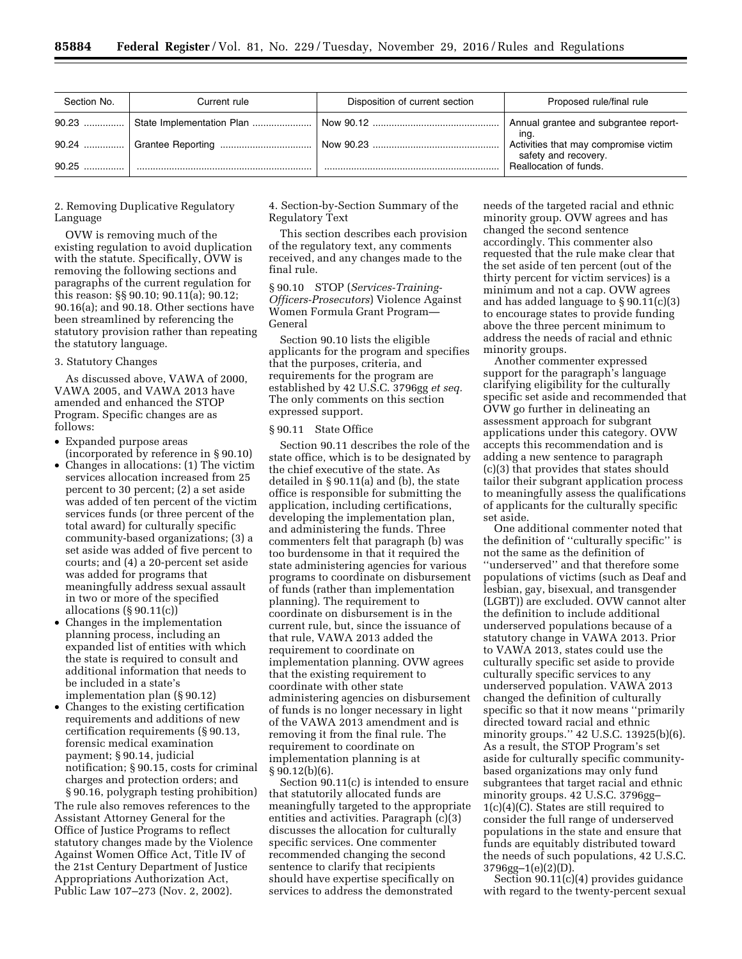| Section No. | Current rule              | Disposition of current section | Proposed rule/final rule                                              |
|-------------|---------------------------|--------------------------------|-----------------------------------------------------------------------|
|             | State Implementation Plan |                                | Annual grantee and subgrantee report-                                 |
|             |                           |                                | ina.<br>Activities that may compromise victim<br>safety and recovery. |
| 90.25       |                           |                                | Reallocation of funds.                                                |

2. Removing Duplicative Regulatory Language

OVW is removing much of the existing regulation to avoid duplication with the statute. Specifically, OVW is removing the following sections and paragraphs of the current regulation for this reason: §§ 90.10; 90.11(a); 90.12; 90.16(a); and 90.18. Other sections have been streamlined by referencing the statutory provision rather than repeating the statutory language.

#### 3. Statutory Changes

As discussed above, VAWA of 2000, VAWA 2005, and VAWA 2013 have amended and enhanced the STOP Program. Specific changes are as follows:

- Expanded purpose areas
- (incorporated by reference in § 90.10) • Changes in allocations: (1) The victim services allocation increased from 25 percent to 30 percent; (2) a set aside was added of ten percent of the victim services funds (or three percent of the total award) for culturally specific community-based organizations; (3) a set aside was added of five percent to courts; and (4) a 20-percent set aside was added for programs that meaningfully address sexual assault in two or more of the specified allocations (§ 90.11(c))
- Changes in the implementation planning process, including an expanded list of entities with which the state is required to consult and additional information that needs to be included in a state's implementation plan (§ 90.12)
- Changes to the existing certification requirements and additions of new certification requirements (§ 90.13, forensic medical examination payment; § 90.14, judicial notification; § 90.15, costs for criminal charges and protection orders; and § 90.16, polygraph testing prohibition) The rule also removes references to the

Assistant Attorney General for the Office of Justice Programs to reflect statutory changes made by the Violence Against Women Office Act, Title IV of the 21st Century Department of Justice Appropriations Authorization Act, Public Law 107–273 (Nov. 2, 2002).

4. Section-by-Section Summary of the Regulatory Text

This section describes each provision of the regulatory text, any comments received, and any changes made to the final rule.

§ 90.10 STOP (*Services-Training-Officers-Prosecutors*) Violence Against Women Formula Grant Program— General

Section 90.10 lists the eligible applicants for the program and specifies that the purposes, criteria, and requirements for the program are established by 42 U.S.C. 3796gg *et seq.*  The only comments on this section expressed support.

#### § 90.11 State Office

Section 90.11 describes the role of the state office, which is to be designated by the chief executive of the state. As detailed in § 90.11(a) and (b), the state office is responsible for submitting the application, including certifications, developing the implementation plan, and administering the funds. Three commenters felt that paragraph (b) was too burdensome in that it required the state administering agencies for various programs to coordinate on disbursement of funds (rather than implementation planning). The requirement to coordinate on disbursement is in the current rule, but, since the issuance of that rule, VAWA 2013 added the requirement to coordinate on implementation planning. OVW agrees that the existing requirement to coordinate with other state administering agencies on disbursement of funds is no longer necessary in light of the VAWA 2013 amendment and is removing it from the final rule. The requirement to coordinate on implementation planning is at § 90.12(b)(6).

Section 90.11(c) is intended to ensure that statutorily allocated funds are meaningfully targeted to the appropriate entities and activities. Paragraph (c)(3) discusses the allocation for culturally specific services. One commenter recommended changing the second sentence to clarify that recipients should have expertise specifically on services to address the demonstrated

needs of the targeted racial and ethnic minority group. OVW agrees and has changed the second sentence accordingly. This commenter also requested that the rule make clear that the set aside of ten percent (out of the thirty percent for victim services) is a minimum and not a cap. OVW agrees and has added language to § 90.11(c)(3) to encourage states to provide funding above the three percent minimum to address the needs of racial and ethnic minority groups.

Another commenter expressed support for the paragraph's language clarifying eligibility for the culturally specific set aside and recommended that OVW go further in delineating an assessment approach for subgrant applications under this category. OVW accepts this recommendation and is adding a new sentence to paragraph (c)(3) that provides that states should tailor their subgrant application process to meaningfully assess the qualifications of applicants for the culturally specific set aside.

One additional commenter noted that the definition of ''culturally specific'' is not the same as the definition of ''underserved'' and that therefore some populations of victims (such as Deaf and lesbian, gay, bisexual, and transgender (LGBT)) are excluded. OVW cannot alter the definition to include additional underserved populations because of a statutory change in VAWA 2013. Prior to VAWA 2013, states could use the culturally specific set aside to provide culturally specific services to any underserved population. VAWA 2013 changed the definition of culturally specific so that it now means ''primarily directed toward racial and ethnic minority groups.'' 42 U.S.C. 13925(b)(6). As a result, the STOP Program's set aside for culturally specific communitybased organizations may only fund subgrantees that target racial and ethnic minority groups. 42 U.S.C. 3796gg– 1(c)(4)(C). States are still required to consider the full range of underserved populations in the state and ensure that funds are equitably distributed toward the needs of such populations, 42 U.S.C. 3796gg–1(e)(2)(D).

Section 90.11(c)(4) provides guidance with regard to the twenty-percent sexual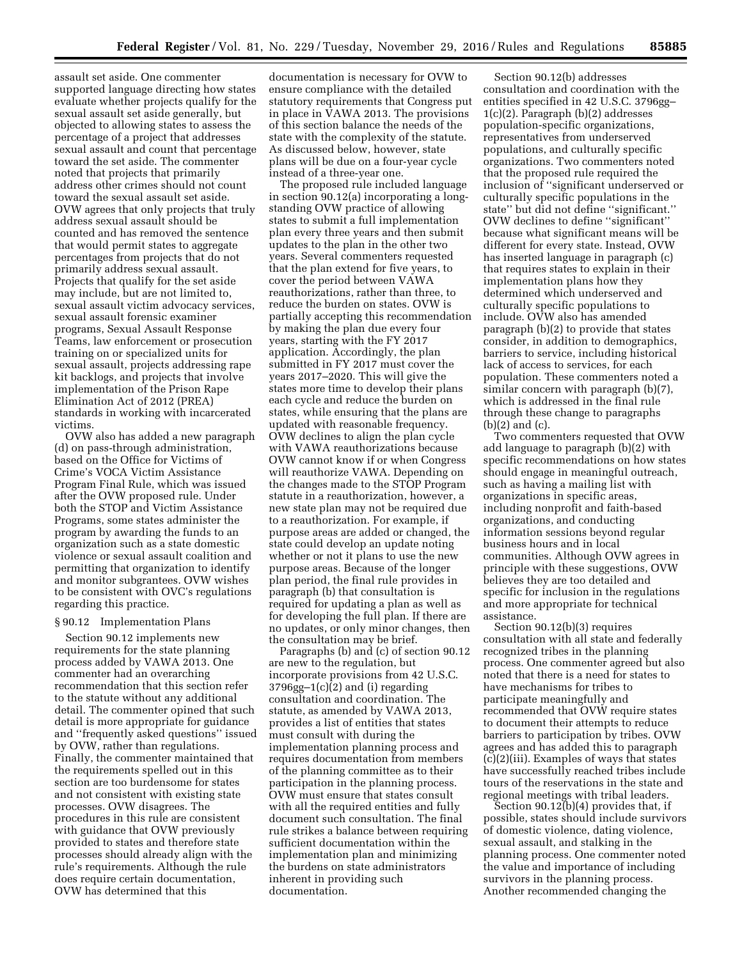assault set aside. One commenter supported language directing how states evaluate whether projects qualify for the sexual assault set aside generally, but objected to allowing states to assess the percentage of a project that addresses sexual assault and count that percentage toward the set aside. The commenter noted that projects that primarily address other crimes should not count toward the sexual assault set aside. OVW agrees that only projects that truly address sexual assault should be counted and has removed the sentence that would permit states to aggregate percentages from projects that do not primarily address sexual assault. Projects that qualify for the set aside may include, but are not limited to, sexual assault victim advocacy services, sexual assault forensic examiner programs, Sexual Assault Response Teams, law enforcement or prosecution training on or specialized units for sexual assault, projects addressing rape kit backlogs, and projects that involve implementation of the Prison Rape Elimination Act of 2012 (PREA) standards in working with incarcerated victims.

OVW also has added a new paragraph (d) on pass-through administration, based on the Office for Victims of Crime's VOCA Victim Assistance Program Final Rule, which was issued after the OVW proposed rule. Under both the STOP and Victim Assistance Programs, some states administer the program by awarding the funds to an organization such as a state domestic violence or sexual assault coalition and permitting that organization to identify and monitor subgrantees. OVW wishes to be consistent with OVC's regulations regarding this practice.

#### § 90.12 Implementation Plans

Section 90.12 implements new requirements for the state planning process added by VAWA 2013. One commenter had an overarching recommendation that this section refer to the statute without any additional detail. The commenter opined that such detail is more appropriate for guidance and ''frequently asked questions'' issued by OVW, rather than regulations. Finally, the commenter maintained that the requirements spelled out in this section are too burdensome for states and not consistent with existing state processes. OVW disagrees. The procedures in this rule are consistent with guidance that OVW previously provided to states and therefore state processes should already align with the rule's requirements. Although the rule does require certain documentation, OVW has determined that this

documentation is necessary for OVW to ensure compliance with the detailed statutory requirements that Congress put in place in VAWA 2013. The provisions of this section balance the needs of the state with the complexity of the statute. As discussed below, however, state plans will be due on a four-year cycle instead of a three-year one.

The proposed rule included language in section 90.12(a) incorporating a longstanding OVW practice of allowing states to submit a full implementation plan every three years and then submit updates to the plan in the other two years. Several commenters requested that the plan extend for five years, to cover the period between VAWA reauthorizations, rather than three, to reduce the burden on states. OVW is partially accepting this recommendation by making the plan due every four years, starting with the FY 2017 application. Accordingly, the plan submitted in FY 2017 must cover the years 2017–2020. This will give the states more time to develop their plans each cycle and reduce the burden on states, while ensuring that the plans are updated with reasonable frequency. OVW declines to align the plan cycle with VAWA reauthorizations because OVW cannot know if or when Congress will reauthorize VAWA. Depending on the changes made to the STOP Program statute in a reauthorization, however, a new state plan may not be required due to a reauthorization. For example, if purpose areas are added or changed, the state could develop an update noting whether or not it plans to use the new purpose areas. Because of the longer plan period, the final rule provides in paragraph (b) that consultation is required for updating a plan as well as for developing the full plan. If there are no updates, or only minor changes, then the consultation may be brief.

Paragraphs (b) and (c) of section 90.12 are new to the regulation, but incorporate provisions from 42 U.S.C.  $3796gg-1(c)(2)$  and (i) regarding consultation and coordination. The statute, as amended by VAWA 2013, provides a list of entities that states must consult with during the implementation planning process and requires documentation from members of the planning committee as to their participation in the planning process. OVW must ensure that states consult with all the required entities and fully document such consultation. The final rule strikes a balance between requiring sufficient documentation within the implementation plan and minimizing the burdens on state administrators inherent in providing such documentation.

Section 90.12(b) addresses consultation and coordination with the entities specified in 42 U.S.C. 3796gg– 1(c)(2). Paragraph (b)(2) addresses population-specific organizations, representatives from underserved populations, and culturally specific organizations. Two commenters noted that the proposed rule required the inclusion of ''significant underserved or culturally specific populations in the state'' but did not define ''significant.'' OVW declines to define ''significant'' because what significant means will be different for every state. Instead, OVW has inserted language in paragraph (c) that requires states to explain in their implementation plans how they determined which underserved and culturally specific populations to include. OVW also has amended paragraph (b)(2) to provide that states consider, in addition to demographics, barriers to service, including historical lack of access to services, for each population. These commenters noted a similar concern with paragraph (b)(7), which is addressed in the final rule through these change to paragraphs (b)(2) and (c).

Two commenters requested that OVW add language to paragraph (b)(2) with specific recommendations on how states should engage in meaningful outreach, such as having a mailing list with organizations in specific areas, including nonprofit and faith-based organizations, and conducting information sessions beyond regular business hours and in local communities. Although OVW agrees in principle with these suggestions, OVW believes they are too detailed and specific for inclusion in the regulations and more appropriate for technical assistance.

Section 90.12(b)(3) requires consultation with all state and federally recognized tribes in the planning process. One commenter agreed but also noted that there is a need for states to have mechanisms for tribes to participate meaningfully and recommended that OVW require states to document their attempts to reduce barriers to participation by tribes. OVW agrees and has added this to paragraph (c)(2)(iii). Examples of ways that states have successfully reached tribes include tours of the reservations in the state and regional meetings with tribal leaders.

Section 90.12(b)(4) provides that, if possible, states should include survivors of domestic violence, dating violence, sexual assault, and stalking in the planning process. One commenter noted the value and importance of including survivors in the planning process. Another recommended changing the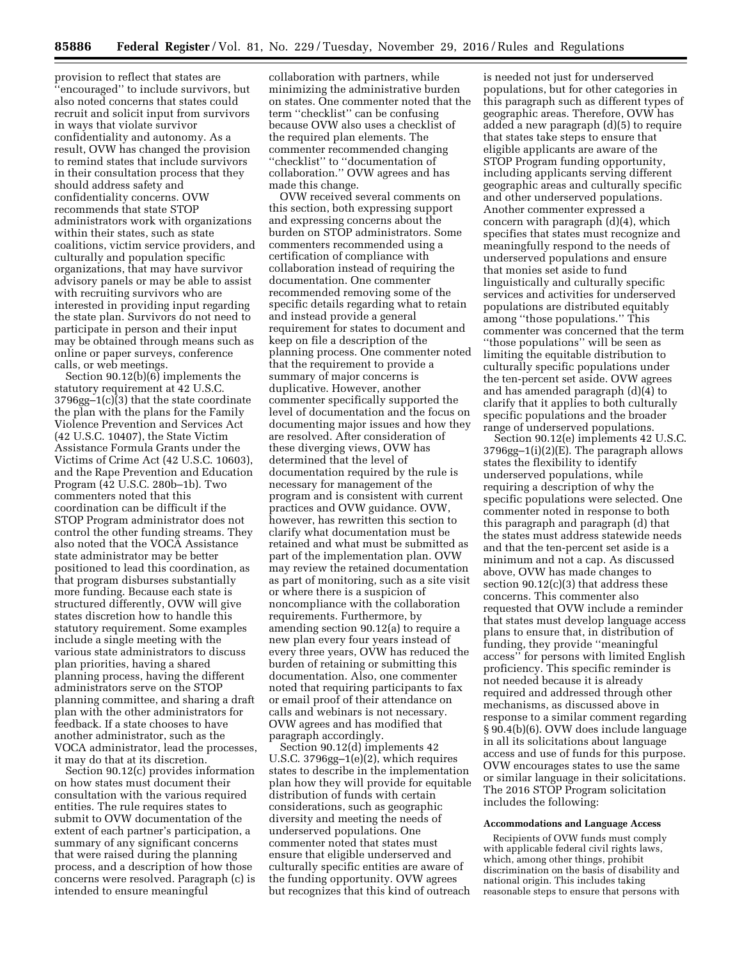provision to reflect that states are ''encouraged'' to include survivors, but also noted concerns that states could recruit and solicit input from survivors in ways that violate survivor confidentiality and autonomy. As a result, OVW has changed the provision to remind states that include survivors in their consultation process that they should address safety and confidentiality concerns. OVW recommends that state STOP administrators work with organizations within their states, such as state coalitions, victim service providers, and culturally and population specific organizations, that may have survivor advisory panels or may be able to assist with recruiting survivors who are interested in providing input regarding the state plan. Survivors do not need to participate in person and their input may be obtained through means such as online or paper surveys, conference calls, or web meetings.

Section 90.12(b)(6) implements the statutory requirement at 42 U.S.C. 3796gg–1(c)(3) that the state coordinate the plan with the plans for the Family Violence Prevention and Services Act (42 U.S.C. 10407), the State Victim Assistance Formula Grants under the Victims of Crime Act (42 U.S.C. 10603), and the Rape Prevention and Education Program (42 U.S.C. 280b–1b). Two commenters noted that this coordination can be difficult if the STOP Program administrator does not control the other funding streams. They also noted that the VOCA Assistance state administrator may be better positioned to lead this coordination, as that program disburses substantially more funding. Because each state is structured differently, OVW will give states discretion how to handle this statutory requirement. Some examples include a single meeting with the various state administrators to discuss plan priorities, having a shared planning process, having the different administrators serve on the STOP planning committee, and sharing a draft plan with the other administrators for feedback. If a state chooses to have another administrator, such as the VOCA administrator, lead the processes, it may do that at its discretion.

Section 90.12(c) provides information on how states must document their consultation with the various required entities. The rule requires states to submit to OVW documentation of the extent of each partner's participation, a summary of any significant concerns that were raised during the planning process, and a description of how those concerns were resolved. Paragraph (c) is intended to ensure meaningful

collaboration with partners, while minimizing the administrative burden on states. One commenter noted that the term ''checklist'' can be confusing because OVW also uses a checklist of the required plan elements. The commenter recommended changing ''checklist'' to ''documentation of collaboration.'' OVW agrees and has made this change.

OVW received several comments on this section, both expressing support and expressing concerns about the burden on STOP administrators. Some commenters recommended using a certification of compliance with collaboration instead of requiring the documentation. One commenter recommended removing some of the specific details regarding what to retain and instead provide a general requirement for states to document and keep on file a description of the planning process. One commenter noted that the requirement to provide a summary of major concerns is duplicative. However, another commenter specifically supported the level of documentation and the focus on documenting major issues and how they are resolved. After consideration of these diverging views, OVW has determined that the level of documentation required by the rule is necessary for management of the program and is consistent with current practices and OVW guidance. OVW, however, has rewritten this section to clarify what documentation must be retained and what must be submitted as part of the implementation plan. OVW may review the retained documentation as part of monitoring, such as a site visit or where there is a suspicion of noncompliance with the collaboration requirements. Furthermore, by amending section 90.12(a) to require a new plan every four years instead of every three years, OVW has reduced the burden of retaining or submitting this documentation. Also, one commenter noted that requiring participants to fax or email proof of their attendance on calls and webinars is not necessary. OVW agrees and has modified that paragraph accordingly.

Section 90.12(d) implements 42 U.S.C. 3796gg–1(e)(2), which requires states to describe in the implementation plan how they will provide for equitable distribution of funds with certain considerations, such as geographic diversity and meeting the needs of underserved populations. One commenter noted that states must ensure that eligible underserved and culturally specific entities are aware of the funding opportunity. OVW agrees but recognizes that this kind of outreach

is needed not just for underserved populations, but for other categories in this paragraph such as different types of geographic areas. Therefore, OVW has added a new paragraph (d)(5) to require that states take steps to ensure that eligible applicants are aware of the STOP Program funding opportunity, including applicants serving different geographic areas and culturally specific and other underserved populations. Another commenter expressed a concern with paragraph (d)(4), which specifies that states must recognize and meaningfully respond to the needs of underserved populations and ensure that monies set aside to fund linguistically and culturally specific services and activities for underserved populations are distributed equitably among ''those populations.'' This commenter was concerned that the term ''those populations'' will be seen as limiting the equitable distribution to culturally specific populations under the ten-percent set aside. OVW agrees and has amended paragraph (d)(4) to clarify that it applies to both culturally specific populations and the broader range of underserved populations.

Section 90.12(e) implements 42 U.S.C. 3796gg–1(i)(2)(E). The paragraph allows states the flexibility to identify underserved populations, while requiring a description of why the specific populations were selected. One commenter noted in response to both this paragraph and paragraph (d) that the states must address statewide needs and that the ten-percent set aside is a minimum and not a cap. As discussed above, OVW has made changes to section  $90.12(c)(3)$  that address these concerns. This commenter also requested that OVW include a reminder that states must develop language access plans to ensure that, in distribution of funding, they provide ''meaningful access'' for persons with limited English proficiency. This specific reminder is not needed because it is already required and addressed through other mechanisms, as discussed above in response to a similar comment regarding § 90.4(b)(6). OVW does include language in all its solicitations about language access and use of funds for this purpose. OVW encourages states to use the same or similar language in their solicitations. The 2016 STOP Program solicitation includes the following:

### **Accommodations and Language Access**

Recipients of OVW funds must comply with applicable federal civil rights laws, which, among other things, prohibit discrimination on the basis of disability and national origin. This includes taking reasonable steps to ensure that persons with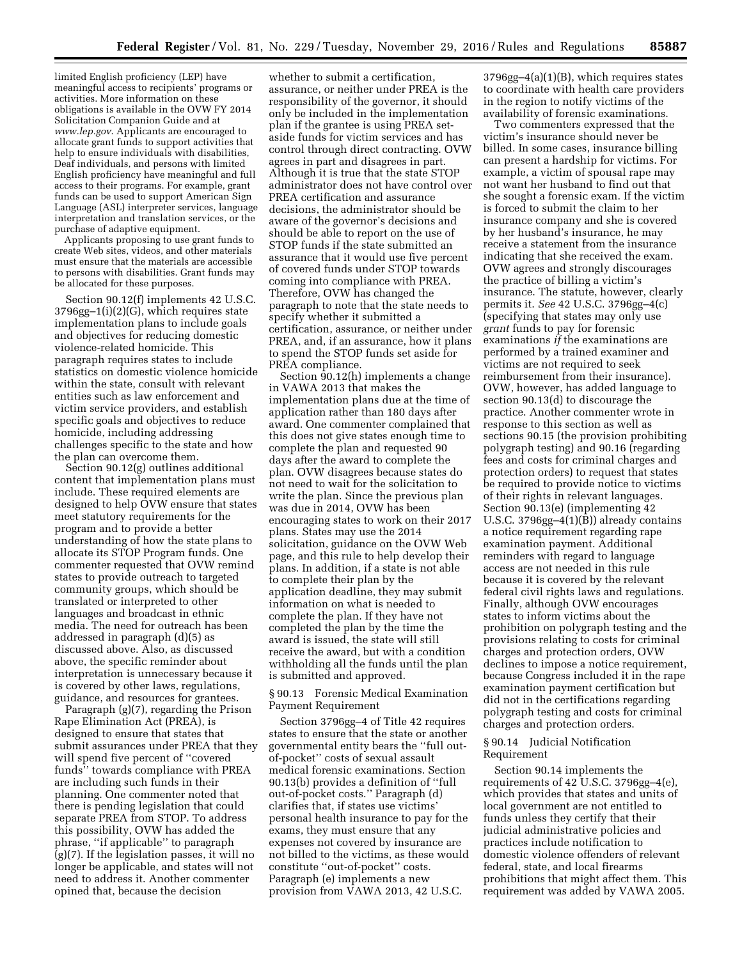limited English proficiency (LEP) have meaningful access to recipients' programs or activities. More information on these obligations is available in the OVW FY 2014 Solicitation Companion Guide and at *[www.lep.gov](http://www.lep.gov)*. Applicants are encouraged to allocate grant funds to support activities that help to ensure individuals with disabilities, Deaf individuals, and persons with limited English proficiency have meaningful and full access to their programs. For example, grant funds can be used to support American Sign Language (ASL) interpreter services, language interpretation and translation services, or the purchase of adaptive equipment.

Applicants proposing to use grant funds to create Web sites, videos, and other materials must ensure that the materials are accessible to persons with disabilities. Grant funds may be allocated for these purposes.

Section 90.12(f) implements 42 U.S.C. 3796gg–1(i)(2)(G), which requires state implementation plans to include goals and objectives for reducing domestic violence-related homicide. This paragraph requires states to include statistics on domestic violence homicide within the state, consult with relevant entities such as law enforcement and victim service providers, and establish specific goals and objectives to reduce homicide, including addressing challenges specific to the state and how the plan can overcome them.

Section 90.12(g) outlines additional content that implementation plans must include. These required elements are designed to help OVW ensure that states meet statutory requirements for the program and to provide a better understanding of how the state plans to allocate its STOP Program funds. One commenter requested that OVW remind states to provide outreach to targeted community groups, which should be translated or interpreted to other languages and broadcast in ethnic media. The need for outreach has been addressed in paragraph (d)(5) as discussed above. Also, as discussed above, the specific reminder about interpretation is unnecessary because it is covered by other laws, regulations, guidance, and resources for grantees.

Paragraph (g)(7), regarding the Prison Rape Elimination Act (PREA), is designed to ensure that states that submit assurances under PREA that they will spend five percent of ''covered funds'' towards compliance with PREA are including such funds in their planning. One commenter noted that there is pending legislation that could separate PREA from STOP. To address this possibility, OVW has added the phrase, ''if applicable'' to paragraph (g)(7). If the legislation passes, it will no longer be applicable, and states will not need to address it. Another commenter opined that, because the decision

whether to submit a certification assurance, or neither under PREA is the responsibility of the governor, it should only be included in the implementation plan if the grantee is using PREA setaside funds for victim services and has control through direct contracting. OVW agrees in part and disagrees in part. Although it is true that the state STOP administrator does not have control over PREA certification and assurance decisions, the administrator should be aware of the governor's decisions and should be able to report on the use of STOP funds if the state submitted an assurance that it would use five percent of covered funds under STOP towards coming into compliance with PREA. Therefore, OVW has changed the paragraph to note that the state needs to specify whether it submitted a certification, assurance, or neither under PREA, and, if an assurance, how it plans to spend the STOP funds set aside for PREA compliance.

Section 90.12(h) implements a change in VAWA 2013 that makes the implementation plans due at the time of application rather than 180 days after award. One commenter complained that this does not give states enough time to complete the plan and requested 90 days after the award to complete the plan. OVW disagrees because states do not need to wait for the solicitation to write the plan. Since the previous plan was due in 2014, OVW has been encouraging states to work on their 2017 plans. States may use the 2014 solicitation, guidance on the OVW Web page, and this rule to help develop their plans. In addition, if a state is not able to complete their plan by the application deadline, they may submit information on what is needed to complete the plan. If they have not completed the plan by the time the award is issued, the state will still receive the award, but with a condition withholding all the funds until the plan is submitted and approved.

§ 90.13 Forensic Medical Examination Payment Requirement

Section 3796gg–4 of Title 42 requires states to ensure that the state or another governmental entity bears the ''full outof-pocket'' costs of sexual assault medical forensic examinations. Section 90.13(b) provides a definition of ''full out-of-pocket costs.'' Paragraph (d) clarifies that, if states use victims' personal health insurance to pay for the exams, they must ensure that any expenses not covered by insurance are not billed to the victims, as these would constitute ''out-of-pocket'' costs. Paragraph (e) implements a new provision from VAWA 2013, 42 U.S.C.

3796gg–4(a)(1)(B), which requires states to coordinate with health care providers in the region to notify victims of the availability of forensic examinations.

Two commenters expressed that the victim's insurance should never be billed. In some cases, insurance billing can present a hardship for victims. For example, a victim of spousal rape may not want her husband to find out that she sought a forensic exam. If the victim is forced to submit the claim to her insurance company and she is covered by her husband's insurance, he may receive a statement from the insurance indicating that she received the exam. OVW agrees and strongly discourages the practice of billing a victim's insurance. The statute, however, clearly permits it. *See* 42 U.S.C. 3796gg–4(c) (specifying that states may only use *grant* funds to pay for forensic examinations *if* the examinations are performed by a trained examiner and victims are not required to seek reimbursement from their insurance). OVW, however, has added language to section 90.13(d) to discourage the practice. Another commenter wrote in response to this section as well as sections 90.15 (the provision prohibiting polygraph testing) and 90.16 (regarding fees and costs for criminal charges and protection orders) to request that states be required to provide notice to victims of their rights in relevant languages. Section 90.13(e) (implementing 42 U.S.C. 3796gg–4(1)(B)) already contains a notice requirement regarding rape examination payment. Additional reminders with regard to language access are not needed in this rule because it is covered by the relevant federal civil rights laws and regulations. Finally, although OVW encourages states to inform victims about the prohibition on polygraph testing and the provisions relating to costs for criminal charges and protection orders, OVW declines to impose a notice requirement, because Congress included it in the rape examination payment certification but did not in the certifications regarding polygraph testing and costs for criminal charges and protection orders.

### § 90.14 Judicial Notification Requirement

Section 90.14 implements the requirements of 42 U.S.C. 3796gg–4(e), which provides that states and units of local government are not entitled to funds unless they certify that their judicial administrative policies and practices include notification to domestic violence offenders of relevant federal, state, and local firearms prohibitions that might affect them. This requirement was added by VAWA 2005.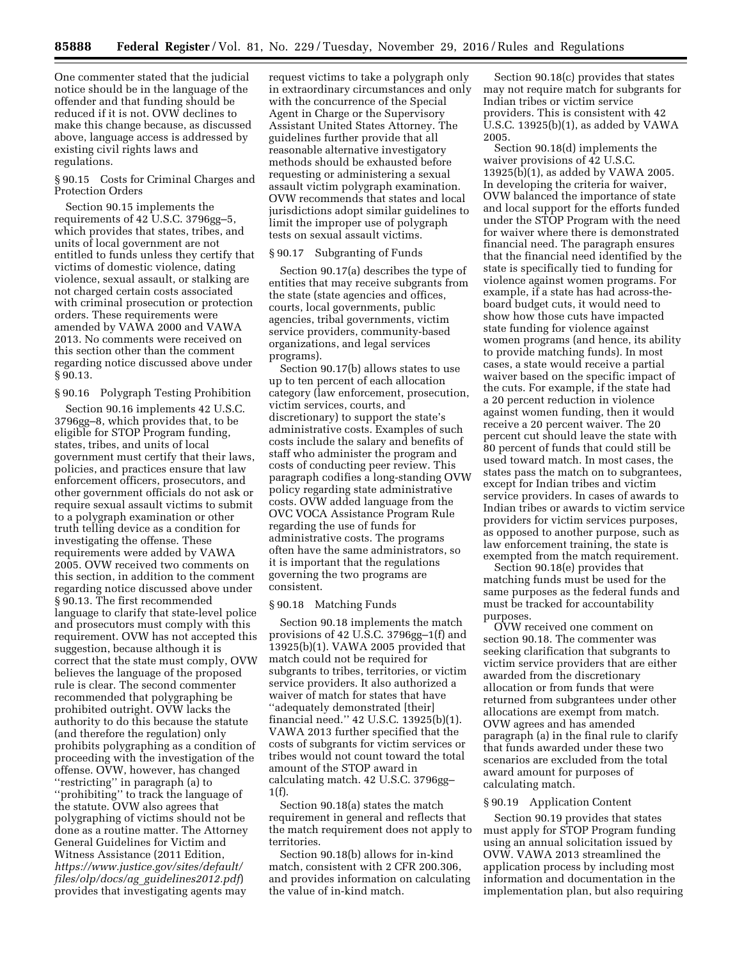One commenter stated that the judicial notice should be in the language of the offender and that funding should be reduced if it is not. OVW declines to make this change because, as discussed above, language access is addressed by existing civil rights laws and regulations.

# § 90.15 Costs for Criminal Charges and Protection Orders

Section 90.15 implements the requirements of 42 U.S.C. 3796gg–5, which provides that states, tribes, and units of local government are not entitled to funds unless they certify that victims of domestic violence, dating violence, sexual assault, or stalking are not charged certain costs associated with criminal prosecution or protection orders. These requirements were amended by VAWA 2000 and VAWA 2013. No comments were received on this section other than the comment regarding notice discussed above under § 90.13.

## § 90.16 Polygraph Testing Prohibition

Section 90.16 implements 42 U.S.C. 3796gg–8, which provides that, to be eligible for STOP Program funding, states, tribes, and units of local government must certify that their laws, policies, and practices ensure that law enforcement officers, prosecutors, and other government officials do not ask or require sexual assault victims to submit to a polygraph examination or other truth telling device as a condition for investigating the offense. These requirements were added by VAWA 2005. OVW received two comments on this section, in addition to the comment regarding notice discussed above under § 90.13. The first recommended language to clarify that state-level police and prosecutors must comply with this requirement. OVW has not accepted this suggestion, because although it is correct that the state must comply, OVW believes the language of the proposed rule is clear. The second commenter recommended that polygraphing be prohibited outright. OVW lacks the authority to do this because the statute (and therefore the regulation) only prohibits polygraphing as a condition of proceeding with the investigation of the offense. OVW, however, has changed ''restricting'' in paragraph (a) to ''prohibiting'' to track the language of the statute. OVW also agrees that polygraphing of victims should not be done as a routine matter. The Attorney General Guidelines for Victim and Witness Assistance (2011 Edition, *[https://www.justice.gov/sites/default/](https://www.justice.gov/sites/default/files/olp/docs/ag_guidelines2012.pdf) files/olp/docs/ag*\_*[guidelines2012.pdf](https://www.justice.gov/sites/default/files/olp/docs/ag_guidelines2012.pdf)*) provides that investigating agents may

request victims to take a polygraph only in extraordinary circumstances and only with the concurrence of the Special Agent in Charge or the Supervisory Assistant United States Attorney. The guidelines further provide that all reasonable alternative investigatory methods should be exhausted before requesting or administering a sexual assault victim polygraph examination. OVW recommends that states and local jurisdictions adopt similar guidelines to limit the improper use of polygraph tests on sexual assault victims.

# § 90.17 Subgranting of Funds

Section 90.17(a) describes the type of entities that may receive subgrants from the state (state agencies and offices, courts, local governments, public agencies, tribal governments, victim service providers, community-based organizations, and legal services programs).

Section 90.17(b) allows states to use up to ten percent of each allocation category (law enforcement, prosecution, victim services, courts, and discretionary) to support the state's administrative costs. Examples of such costs include the salary and benefits of staff who administer the program and costs of conducting peer review. This paragraph codifies a long-standing OVW policy regarding state administrative costs. OVW added language from the OVC VOCA Assistance Program Rule regarding the use of funds for administrative costs. The programs often have the same administrators, so it is important that the regulations governing the two programs are consistent.

# § 90.18 Matching Funds

Section 90.18 implements the match provisions of 42 U.S.C. 3796gg–1(f) and 13925(b)(1). VAWA 2005 provided that match could not be required for subgrants to tribes, territories, or victim service providers. It also authorized a waiver of match for states that have ''adequately demonstrated [their] financial need.'' 42 U.S.C. 13925(b)(1). VAWA 2013 further specified that the costs of subgrants for victim services or tribes would not count toward the total amount of the STOP award in calculating match. 42 U.S.C. 3796gg– 1(f).

Section 90.18(a) states the match requirement in general and reflects that the match requirement does not apply to territories.

Section 90.18(b) allows for in-kind match, consistent with 2 CFR 200.306, and provides information on calculating the value of in-kind match.

Section 90.18(c) provides that states may not require match for subgrants for Indian tribes or victim service providers. This is consistent with 42 U.S.C.  $13925(b)(1)$ , as added by VAWA 2005.

Section 90.18(d) implements the waiver provisions of 42 U.S.C. 13925(b)(1), as added by VAWA 2005. In developing the criteria for waiver, OVW balanced the importance of state and local support for the efforts funded under the STOP Program with the need for waiver where there is demonstrated financial need. The paragraph ensures that the financial need identified by the state is specifically tied to funding for violence against women programs. For example, if a state has had across-theboard budget cuts, it would need to show how those cuts have impacted state funding for violence against women programs (and hence, its ability to provide matching funds). In most cases, a state would receive a partial waiver based on the specific impact of the cuts. For example, if the state had a 20 percent reduction in violence against women funding, then it would receive a 20 percent waiver. The 20 percent cut should leave the state with 80 percent of funds that could still be used toward match. In most cases, the states pass the match on to subgrantees, except for Indian tribes and victim service providers. In cases of awards to Indian tribes or awards to victim service providers for victim services purposes, as opposed to another purpose, such as law enforcement training, the state is exempted from the match requirement.

Section 90.18(e) provides that matching funds must be used for the same purposes as the federal funds and must be tracked for accountability purposes.

OVW received one comment on section 90.18. The commenter was seeking clarification that subgrants to victim service providers that are either awarded from the discretionary allocation or from funds that were returned from subgrantees under other allocations are exempt from match. OVW agrees and has amended paragraph (a) in the final rule to clarify that funds awarded under these two scenarios are excluded from the total award amount for purposes of calculating match.

#### § 90.19 Application Content

Section 90.19 provides that states must apply for STOP Program funding using an annual solicitation issued by OVW. VAWA 2013 streamlined the application process by including most information and documentation in the implementation plan, but also requiring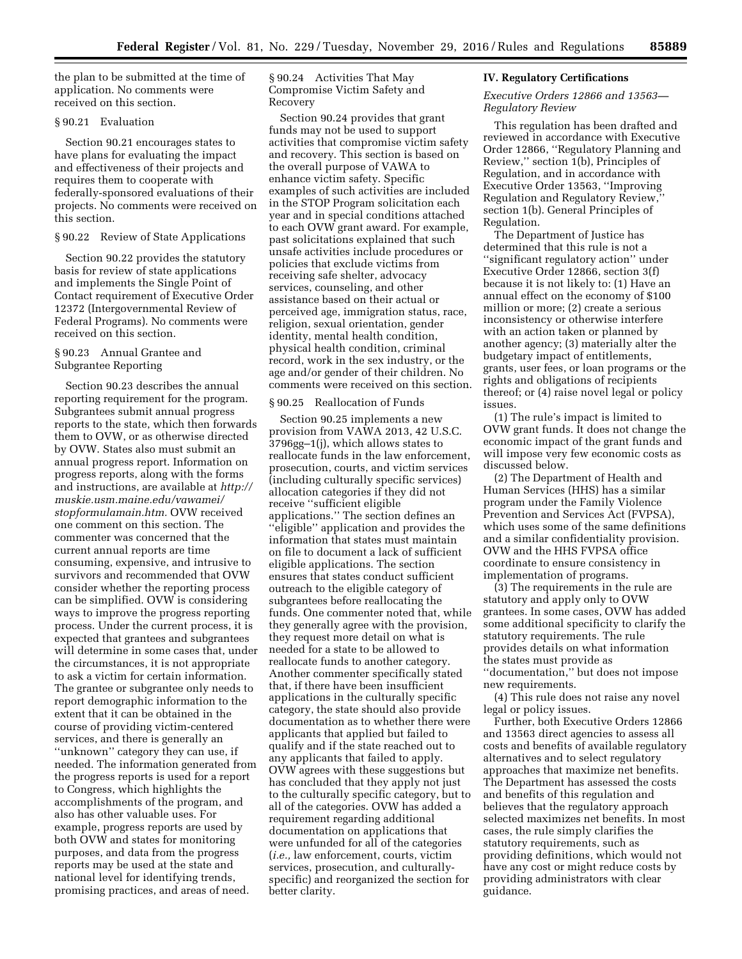the plan to be submitted at the time of application. No comments were received on this section.

#### § 90.21 Evaluation

Section 90.21 encourages states to have plans for evaluating the impact and effectiveness of their projects and requires them to cooperate with federally-sponsored evaluations of their projects. No comments were received on this section.

### § 90.22 Review of State Applications

Section 90.22 provides the statutory basis for review of state applications and implements the Single Point of Contact requirement of Executive Order 12372 (Intergovernmental Review of Federal Programs). No comments were received on this section.

## § 90.23 Annual Grantee and Subgrantee Reporting

Section 90.23 describes the annual reporting requirement for the program. Subgrantees submit annual progress reports to the state, which then forwards them to OVW, or as otherwise directed by OVW. States also must submit an annual progress report. Information on progress reports, along with the forms and instructions, are available at *[http://](http://muskie.usm.maine.edu/vawamei/stopformulamain.htm) [muskie.usm.maine.edu/vawamei/](http://muskie.usm.maine.edu/vawamei/stopformulamain.htm) [stopformulamain.htm.](http://muskie.usm.maine.edu/vawamei/stopformulamain.htm)* OVW received one comment on this section. The commenter was concerned that the current annual reports are time consuming, expensive, and intrusive to survivors and recommended that OVW consider whether the reporting process can be simplified. OVW is considering ways to improve the progress reporting process. Under the current process, it is expected that grantees and subgrantees will determine in some cases that, under the circumstances, it is not appropriate to ask a victim for certain information. The grantee or subgrantee only needs to report demographic information to the extent that it can be obtained in the course of providing victim-centered services, and there is generally an ''unknown'' category they can use, if needed. The information generated from the progress reports is used for a report to Congress, which highlights the accomplishments of the program, and also has other valuable uses. For example, progress reports are used by both OVW and states for monitoring purposes, and data from the progress reports may be used at the state and national level for identifying trends, promising practices, and areas of need.

§ 90.24 Activities That May Compromise Victim Safety and Recovery

Section 90.24 provides that grant funds may not be used to support activities that compromise victim safety and recovery. This section is based on the overall purpose of VAWA to enhance victim safety. Specific examples of such activities are included in the STOP Program solicitation each year and in special conditions attached to each OVW grant award. For example, past solicitations explained that such unsafe activities include procedures or policies that exclude victims from receiving safe shelter, advocacy services, counseling, and other assistance based on their actual or perceived age, immigration status, race, religion, sexual orientation, gender identity, mental health condition, physical health condition, criminal record, work in the sex industry, or the age and/or gender of their children. No comments were received on this section.

### § 90.25 Reallocation of Funds

Section 90.25 implements a new provision from VAWA 2013, 42 U.S.C. 3796gg–1(j), which allows states to reallocate funds in the law enforcement, prosecution, courts, and victim services (including culturally specific services) allocation categories if they did not receive ''sufficient eligible applications.'' The section defines an ''eligible'' application and provides the information that states must maintain on file to document a lack of sufficient eligible applications. The section ensures that states conduct sufficient outreach to the eligible category of subgrantees before reallocating the funds. One commenter noted that, while they generally agree with the provision, they request more detail on what is needed for a state to be allowed to reallocate funds to another category. Another commenter specifically stated that, if there have been insufficient applications in the culturally specific category, the state should also provide documentation as to whether there were applicants that applied but failed to qualify and if the state reached out to any applicants that failed to apply. OVW agrees with these suggestions but has concluded that they apply not just to the culturally specific category, but to all of the categories. OVW has added a requirement regarding additional documentation on applications that were unfunded for all of the categories (*i.e.,* law enforcement, courts, victim services, prosecution, and culturallyspecific) and reorganized the section for better clarity.

### **IV. Regulatory Certifications**

### *Executive Orders 12866 and 13563— Regulatory Review*

This regulation has been drafted and reviewed in accordance with Executive Order 12866, ''Regulatory Planning and Review,'' section 1(b), Principles of Regulation, and in accordance with Executive Order 13563, ''Improving Regulation and Regulatory Review,'' section 1(b). General Principles of Regulation.

The Department of Justice has determined that this rule is not a ''significant regulatory action'' under Executive Order 12866, section 3(f) because it is not likely to: (1) Have an annual effect on the economy of \$100 million or more; (2) create a serious inconsistency or otherwise interfere with an action taken or planned by another agency; (3) materially alter the budgetary impact of entitlements, grants, user fees, or loan programs or the rights and obligations of recipients thereof; or (4) raise novel legal or policy issues.

(1) The rule's impact is limited to OVW grant funds. It does not change the economic impact of the grant funds and will impose very few economic costs as discussed below.

(2) The Department of Health and Human Services (HHS) has a similar program under the Family Violence Prevention and Services Act (FVPSA), which uses some of the same definitions and a similar confidentiality provision. OVW and the HHS FVPSA office coordinate to ensure consistency in implementation of programs.

(3) The requirements in the rule are statutory and apply only to OVW grantees. In some cases, OVW has added some additional specificity to clarify the statutory requirements. The rule provides details on what information the states must provide as ''documentation,'' but does not impose

new requirements.

(4) This rule does not raise any novel legal or policy issues.

Further, both Executive Orders 12866 and 13563 direct agencies to assess all costs and benefits of available regulatory alternatives and to select regulatory approaches that maximize net benefits. The Department has assessed the costs and benefits of this regulation and believes that the regulatory approach selected maximizes net benefits. In most cases, the rule simply clarifies the statutory requirements, such as providing definitions, which would not have any cost or might reduce costs by providing administrators with clear guidance.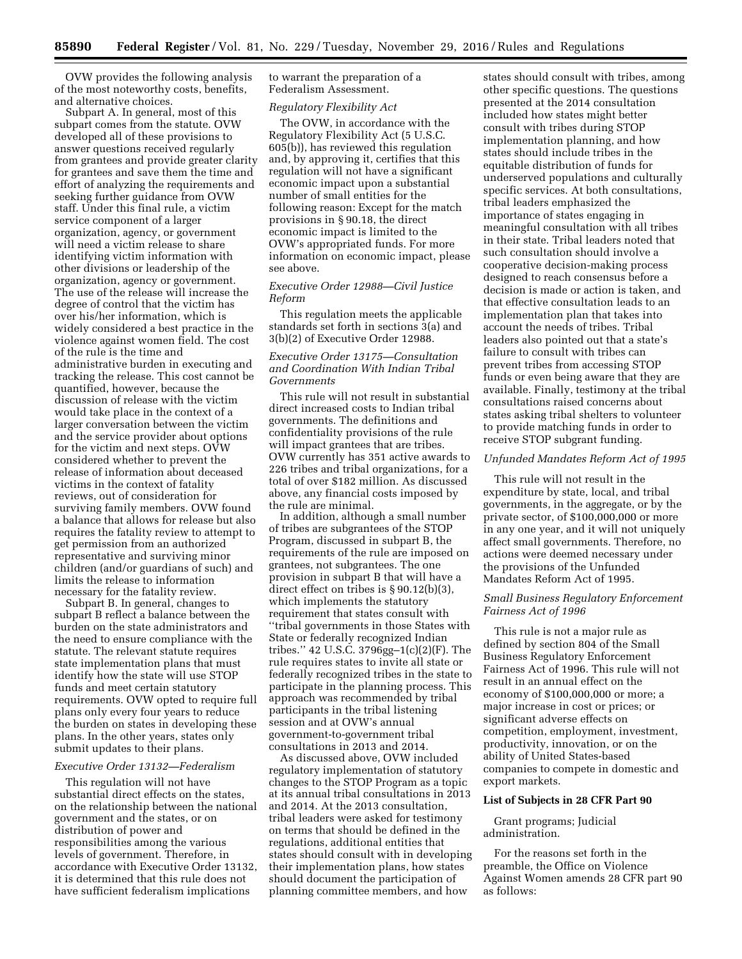OVW provides the following analysis of the most noteworthy costs, benefits, and alternative choices.

Subpart A. In general, most of this subpart comes from the statute. OVW developed all of these provisions to answer questions received regularly from grantees and provide greater clarity for grantees and save them the time and effort of analyzing the requirements and seeking further guidance from OVW staff. Under this final rule, a victim service component of a larger organization, agency, or government will need a victim release to share identifying victim information with other divisions or leadership of the organization, agency or government. The use of the release will increase the degree of control that the victim has over his/her information, which is widely considered a best practice in the violence against women field. The cost of the rule is the time and administrative burden in executing and tracking the release. This cost cannot be quantified, however, because the discussion of release with the victim would take place in the context of a larger conversation between the victim and the service provider about options for the victim and next steps. OVW considered whether to prevent the release of information about deceased victims in the context of fatality reviews, out of consideration for surviving family members. OVW found a balance that allows for release but also requires the fatality review to attempt to get permission from an authorized representative and surviving minor children (and/or guardians of such) and limits the release to information necessary for the fatality review.

Subpart B. In general, changes to subpart B reflect a balance between the burden on the state administrators and the need to ensure compliance with the statute. The relevant statute requires state implementation plans that must identify how the state will use STOP funds and meet certain statutory requirements. OVW opted to require full plans only every four years to reduce the burden on states in developing these plans. In the other years, states only submit updates to their plans.

### *Executive Order 13132—Federalism*

This regulation will not have substantial direct effects on the states, on the relationship between the national government and the states, or on distribution of power and responsibilities among the various levels of government. Therefore, in accordance with Executive Order 13132, it is determined that this rule does not have sufficient federalism implications

to warrant the preparation of a Federalism Assessment.

### *Regulatory Flexibility Act*

The OVW, in accordance with the Regulatory Flexibility Act (5 U.S.C. 605(b)), has reviewed this regulation and, by approving it, certifies that this regulation will not have a significant economic impact upon a substantial number of small entities for the following reason: Except for the match provisions in § 90.18, the direct economic impact is limited to the OVW's appropriated funds. For more information on economic impact, please see above.

# *Executive Order 12988—Civil Justice Reform*

This regulation meets the applicable standards set forth in sections 3(a) and 3(b)(2) of Executive Order 12988.

# *Executive Order 13175—Consultation and Coordination With Indian Tribal Governments*

This rule will not result in substantial direct increased costs to Indian tribal governments. The definitions and confidentiality provisions of the rule will impact grantees that are tribes. OVW currently has 351 active awards to 226 tribes and tribal organizations, for a total of over \$182 million. As discussed above, any financial costs imposed by the rule are minimal.

In addition, although a small number of tribes are subgrantees of the STOP Program, discussed in subpart B, the requirements of the rule are imposed on grantees, not subgrantees. The one provision in subpart B that will have a direct effect on tribes is § 90.12(b)(3), which implements the statutory requirement that states consult with ''tribal governments in those States with State or federally recognized Indian tribes.'' 42 U.S.C. 3796gg–1(c)(2)(F). The rule requires states to invite all state or federally recognized tribes in the state to participate in the planning process. This approach was recommended by tribal participants in the tribal listening session and at OVW's annual government-to-government tribal consultations in 2013 and 2014.

As discussed above, OVW included regulatory implementation of statutory changes to the STOP Program as a topic at its annual tribal consultations in 2013 and 2014. At the 2013 consultation, tribal leaders were asked for testimony on terms that should be defined in the regulations, additional entities that states should consult with in developing their implementation plans, how states should document the participation of planning committee members, and how

states should consult with tribes, among other specific questions. The questions presented at the 2014 consultation included how states might better consult with tribes during STOP implementation planning, and how states should include tribes in the equitable distribution of funds for underserved populations and culturally specific services. At both consultations, tribal leaders emphasized the importance of states engaging in meaningful consultation with all tribes in their state. Tribal leaders noted that such consultation should involve a cooperative decision-making process designed to reach consensus before a decision is made or action is taken, and that effective consultation leads to an implementation plan that takes into account the needs of tribes. Tribal leaders also pointed out that a state's failure to consult with tribes can prevent tribes from accessing STOP funds or even being aware that they are available. Finally, testimony at the tribal consultations raised concerns about states asking tribal shelters to volunteer to provide matching funds in order to receive STOP subgrant funding.

#### *Unfunded Mandates Reform Act of 1995*

This rule will not result in the expenditure by state, local, and tribal governments, in the aggregate, or by the private sector, of \$100,000,000 or more in any one year, and it will not uniquely affect small governments. Therefore, no actions were deemed necessary under the provisions of the Unfunded Mandates Reform Act of 1995.

# *Small Business Regulatory Enforcement Fairness Act of 1996*

This rule is not a major rule as defined by section 804 of the Small Business Regulatory Enforcement Fairness Act of 1996. This rule will not result in an annual effect on the economy of \$100,000,000 or more; a major increase in cost or prices; or significant adverse effects on competition, employment, investment, productivity, innovation, or on the ability of United States-based companies to compete in domestic and export markets.

#### **List of Subjects in 28 CFR Part 90**

Grant programs; Judicial administration.

For the reasons set forth in the preamble, the Office on Violence Against Women amends 28 CFR part 90 as follows: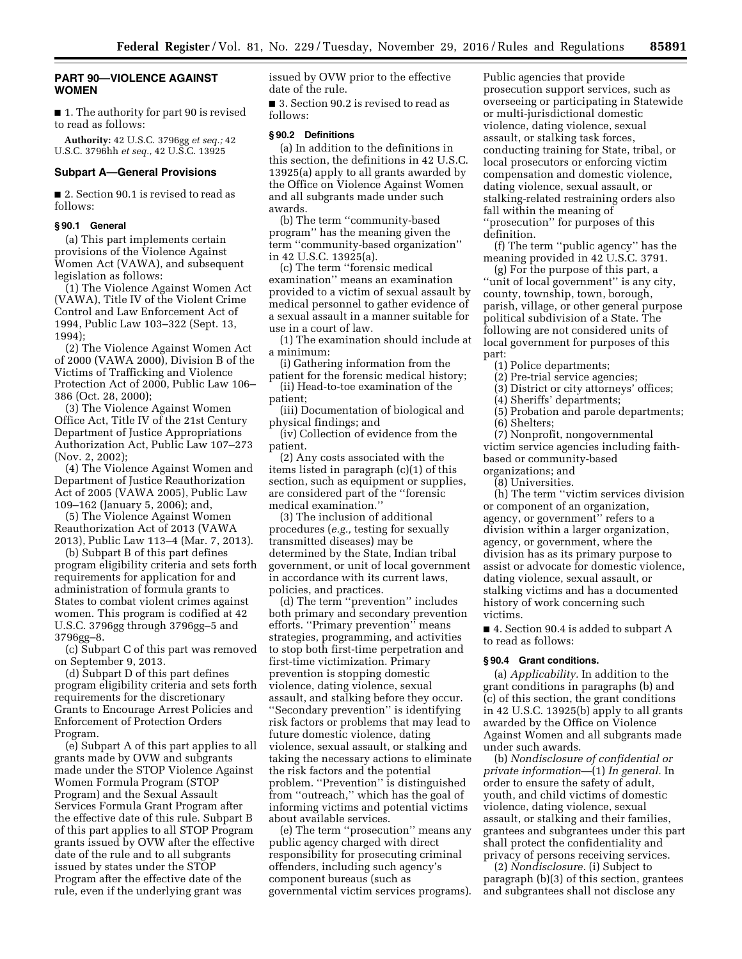# **PART 90—VIOLENCE AGAINST WOMEN**

■ 1. The authority for part 90 is revised to read as follows:

**Authority:** 42 U.S.C. 3796gg *et seq.;* 42 U.S.C. 3796hh *et seq.,* 42 U.S.C. 13925

#### **Subpart A—General Provisions**

■ 2. Section 90.1 is revised to read as follows:

### **§ 90.1 General**

(a) This part implements certain provisions of the Violence Against Women Act (VAWA), and subsequent legislation as follows:

(1) The Violence Against Women Act (VAWA), Title IV of the Violent Crime Control and Law Enforcement Act of 1994, Public Law 103–322 (Sept. 13, 1994);

(2) The Violence Against Women Act of 2000 (VAWA 2000), Division B of the Victims of Trafficking and Violence Protection Act of 2000, Public Law 106– 386 (Oct. 28, 2000);

(3) The Violence Against Women Office Act, Title IV of the 21st Century Department of Justice Appropriations Authorization Act, Public Law 107–273 (Nov. 2, 2002);

(4) The Violence Against Women and Department of Justice Reauthorization Act of 2005 (VAWA 2005), Public Law 109–162 (January 5, 2006); and,

(5) The Violence Against Women Reauthorization Act of 2013 (VAWA 2013), Public Law 113–4 (Mar. 7, 2013).

(b) Subpart B of this part defines program eligibility criteria and sets forth requirements for application for and administration of formula grants to States to combat violent crimes against women. This program is codified at 42 U.S.C. 3796gg through 3796gg–5 and 3796gg–8.

(c) Subpart C of this part was removed on September 9, 2013.

(d) Subpart D of this part defines program eligibility criteria and sets forth requirements for the discretionary Grants to Encourage Arrest Policies and Enforcement of Protection Orders Program.

(e) Subpart A of this part applies to all grants made by OVW and subgrants made under the STOP Violence Against Women Formula Program (STOP Program) and the Sexual Assault Services Formula Grant Program after the effective date of this rule. Subpart B of this part applies to all STOP Program grants issued by OVW after the effective date of the rule and to all subgrants issued by states under the STOP Program after the effective date of the rule, even if the underlying grant was

issued by OVW prior to the effective date of the rule.

■ 3. Section 90.2 is revised to read as follows:

### **§ 90.2 Definitions**

(a) In addition to the definitions in this section, the definitions in 42 U.S.C. 13925(a) apply to all grants awarded by the Office on Violence Against Women and all subgrants made under such awards.

(b) The term ''community-based program'' has the meaning given the term ''community-based organization'' in 42 U.S.C. 13925(a).

(c) The term ''forensic medical examination'' means an examination provided to a victim of sexual assault by medical personnel to gather evidence of a sexual assault in a manner suitable for use in a court of law.

(1) The examination should include at a minimum:

(i) Gathering information from the patient for the forensic medical history;

(ii) Head-to-toe examination of the patient;

(iii) Documentation of biological and physical findings; and

(iv) Collection of evidence from the patient.

(2) Any costs associated with the items listed in paragraph (c)(1) of this section, such as equipment or supplies, are considered part of the ''forensic medical examination.''

(3) The inclusion of additional procedures (*e.g.,* testing for sexually transmitted diseases) may be determined by the State, Indian tribal government, or unit of local government in accordance with its current laws, policies, and practices.

(d) The term ''prevention'' includes both primary and secondary prevention efforts. ''Primary prevention'' means strategies, programming, and activities to stop both first-time perpetration and first-time victimization. Primary prevention is stopping domestic violence, dating violence, sexual assault, and stalking before they occur. ''Secondary prevention'' is identifying risk factors or problems that may lead to future domestic violence, dating violence, sexual assault, or stalking and taking the necessary actions to eliminate the risk factors and the potential problem. ''Prevention'' is distinguished from ''outreach,'' which has the goal of informing victims and potential victims about available services.

(e) The term ''prosecution'' means any public agency charged with direct responsibility for prosecuting criminal offenders, including such agency's component bureaus (such as governmental victim services programs). Public agencies that provide prosecution support services, such as overseeing or participating in Statewide or multi-jurisdictional domestic violence, dating violence, sexual assault, or stalking task forces, conducting training for State, tribal, or local prosecutors or enforcing victim compensation and domestic violence, dating violence, sexual assault, or stalking-related restraining orders also fall within the meaning of ''prosecution'' for purposes of this definition.

(f) The term ''public agency'' has the meaning provided in 42 U.S.C. 3791.

(g) For the purpose of this part, a ''unit of local government'' is any city, county, township, town, borough, parish, village, or other general purpose political subdivision of a State. The following are not considered units of local government for purposes of this part:

(1) Police departments;

- (2) Pre-trial service agencies;
- (3) District or city attorneys' offices;
- (4) Sheriffs' departments;
- (5) Probation and parole departments; (6) Shelters;

(7) Nonprofit, nongovernmental victim service agencies including faithbased or community-based organizations; and

(8) Universities.

(h) The term ''victim services division or component of an organization, agency, or government'' refers to a division within a larger organization, agency, or government, where the division has as its primary purpose to assist or advocate for domestic violence, dating violence, sexual assault, or stalking victims and has a documented history of work concerning such victims.

■ 4. Section 90.4 is added to subpart A to read as follows:

#### **§ 90.4 Grant conditions.**

(a) *Applicability.* In addition to the grant conditions in paragraphs (b) and (c) of this section, the grant conditions in 42 U.S.C. 13925(b) apply to all grants awarded by the Office on Violence Against Women and all subgrants made under such awards.

(b) *Nondisclosure of confidential or private information*—(1) *In general.* In order to ensure the safety of adult, youth, and child victims of domestic violence, dating violence, sexual assault, or stalking and their families, grantees and subgrantees under this part shall protect the confidentiality and privacy of persons receiving services.

(2) *Nondisclosure.* (i) Subject to paragraph (b)(3) of this section, grantees and subgrantees shall not disclose any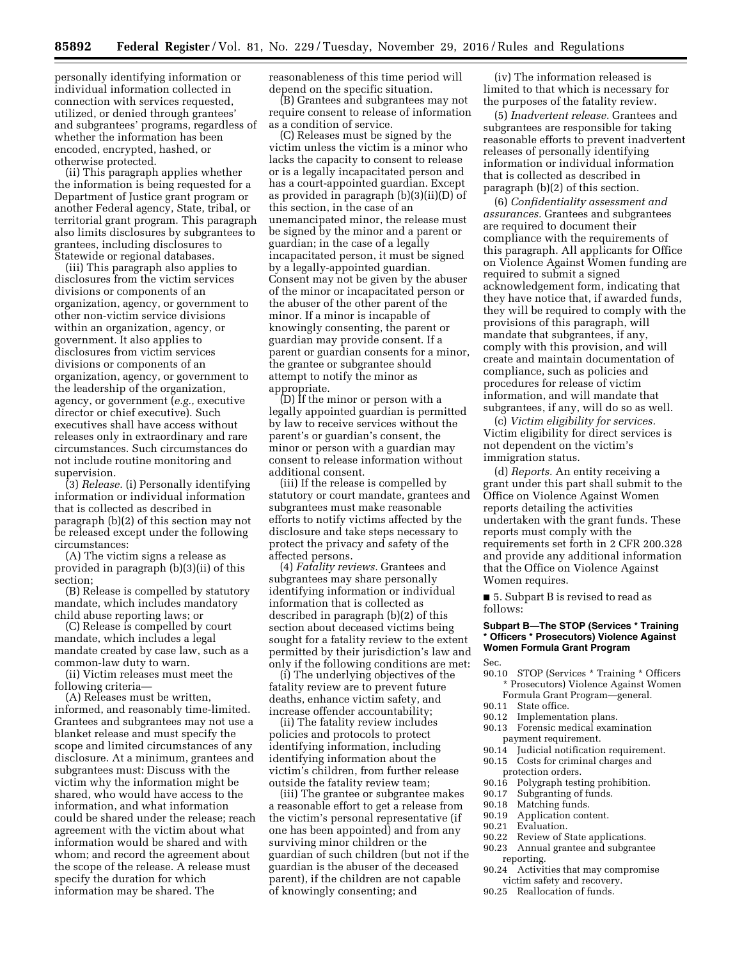personally identifying information or individual information collected in connection with services requested, utilized, or denied through grantees' and subgrantees' programs, regardless of whether the information has been encoded, encrypted, hashed, or otherwise protected.

(ii) This paragraph applies whether the information is being requested for a Department of Justice grant program or another Federal agency, State, tribal, or territorial grant program. This paragraph also limits disclosures by subgrantees to grantees, including disclosures to Statewide or regional databases.

(iii) This paragraph also applies to disclosures from the victim services divisions or components of an organization, agency, or government to other non-victim service divisions within an organization, agency, or government. It also applies to disclosures from victim services divisions or components of an organization, agency, or government to the leadership of the organization, agency, or government (*e.g.,* executive director or chief executive). Such executives shall have access without releases only in extraordinary and rare circumstances. Such circumstances do not include routine monitoring and supervision.

(3) *Release.* (i) Personally identifying information or individual information that is collected as described in paragraph (b)(2) of this section may not be released except under the following circumstances:

(A) The victim signs a release as provided in paragraph (b)(3)(ii) of this section;

(B) Release is compelled by statutory mandate, which includes mandatory child abuse reporting laws; or

(C) Release is compelled by court mandate, which includes a legal mandate created by case law, such as a common-law duty to warn.

(ii) Victim releases must meet the following criteria—

(A) Releases must be written, informed, and reasonably time-limited. Grantees and subgrantees may not use a blanket release and must specify the scope and limited circumstances of any disclosure. At a minimum, grantees and subgrantees must: Discuss with the victim why the information might be shared, who would have access to the information, and what information could be shared under the release; reach agreement with the victim about what information would be shared and with whom; and record the agreement about the scope of the release. A release must specify the duration for which information may be shared. The

reasonableness of this time period will depend on the specific situation.

(B) Grantees and subgrantees may not require consent to release of information as a condition of service.

(C) Releases must be signed by the victim unless the victim is a minor who lacks the capacity to consent to release or is a legally incapacitated person and has a court-appointed guardian. Except as provided in paragraph (b)(3)(ii)(D) of this section, in the case of an unemancipated minor, the release must be signed by the minor and a parent or guardian; in the case of a legally incapacitated person, it must be signed by a legally-appointed guardian. Consent may not be given by the abuser of the minor or incapacitated person or the abuser of the other parent of the minor. If a minor is incapable of knowingly consenting, the parent or guardian may provide consent. If a parent or guardian consents for a minor, the grantee or subgrantee should attempt to notify the minor as appropriate.

(D) If the minor or person with a legally appointed guardian is permitted by law to receive services without the parent's or guardian's consent, the minor or person with a guardian may consent to release information without additional consent.

(iii) If the release is compelled by statutory or court mandate, grantees and subgrantees must make reasonable efforts to notify victims affected by the disclosure and take steps necessary to protect the privacy and safety of the affected persons.

(4) *Fatality reviews.* Grantees and subgrantees may share personally identifying information or individual information that is collected as described in paragraph (b)(2) of this section about deceased victims being sought for a fatality review to the extent permitted by their jurisdiction's law and only if the following conditions are met:

(i) The underlying objectives of the fatality review are to prevent future deaths, enhance victim safety, and increase offender accountability;

(ii) The fatality review includes policies and protocols to protect identifying information, including identifying information about the victim's children, from further release outside the fatality review team;

(iii) The grantee or subgrantee makes a reasonable effort to get a release from the victim's personal representative (if one has been appointed) and from any surviving minor children or the guardian of such children (but not if the guardian is the abuser of the deceased parent), if the children are not capable of knowingly consenting; and

(iv) The information released is limited to that which is necessary for the purposes of the fatality review.

(5) *Inadvertent release.* Grantees and subgrantees are responsible for taking reasonable efforts to prevent inadvertent releases of personally identifying information or individual information that is collected as described in paragraph (b)(2) of this section.

(6) *Confidentiality assessment and assurances.* Grantees and subgrantees are required to document their compliance with the requirements of this paragraph. All applicants for Office on Violence Against Women funding are required to submit a signed acknowledgement form, indicating that they have notice that, if awarded funds, they will be required to comply with the provisions of this paragraph, will mandate that subgrantees, if any, comply with this provision, and will create and maintain documentation of compliance, such as policies and procedures for release of victim information, and will mandate that subgrantees, if any, will do so as well.

(c) *Victim eligibility for services.*  Victim eligibility for direct services is not dependent on the victim's immigration status.

(d) *Reports.* An entity receiving a grant under this part shall submit to the Office on Violence Against Women reports detailing the activities undertaken with the grant funds. These reports must comply with the requirements set forth in 2 CFR 200.328 and provide any additional information that the Office on Violence Against Women requires.

■ 5. Subpart B is revised to read as follows:

# **Subpart B—The STOP (Services \* Training \* Officers \* Prosecutors) Violence Against Women Formula Grant Program**

Sec.

- 90.10 STOP (Services \* Training \* Officers \* Prosecutors) Violence Against Women Formula Grant Program—general.<br>90.11 State office.
- 90.11 State office.<br>90.12 Implementa
- 
- 90.12 Implementation plans.<br>90.13 Forensic medical exam Forensic medical examination
- payment requirement.<br>
90.14 Indicial notification 90.14 Judicial notification requirement.<br>90.15 Costs for criminal charges and Costs for criminal charges and
- protection orders.<br>90.16 Polygraph testi
- 90.16 Polygraph testing prohibition.<br>90.17 Subgranting of funds.
- 90.17 Subgranting of funds.<br>90.18 Matching funds.
- 90.18 Matching funds.<br>90.19 Application con
- 90.19 Application content.<br>90.21 Evaluation
- 90.21 Evaluation.<br>90.22 Review of S
- 90.22 Review of State applications.<br>90.23 Annual grantee and subgrant Annual grantee and subgrantee
- reporting.
- 90.24 Activities that may compromise victim safety and recovery.
- 90.25 Reallocation of funds.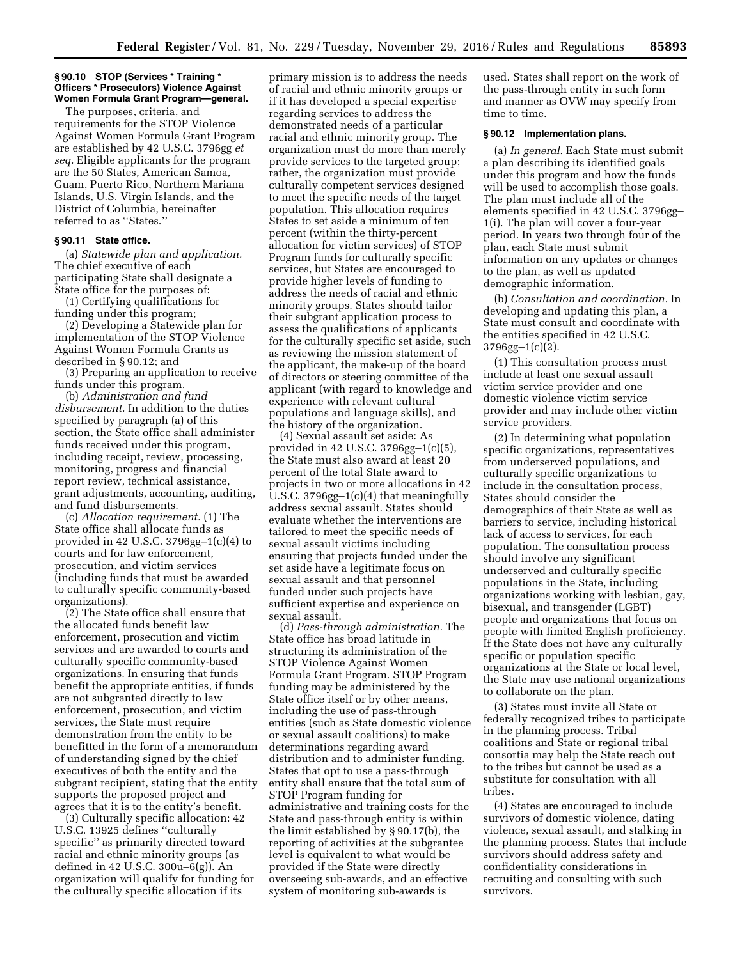#### **§ 90.10 STOP (Services \* Training \* Officers \* Prosecutors) Violence Against Women Formula Grant Program—general.**

The purposes, criteria, and requirements for the STOP Violence Against Women Formula Grant Program are established by 42 U.S.C. 3796gg *et seq.* Eligible applicants for the program are the 50 States, American Samoa, Guam, Puerto Rico, Northern Mariana Islands, U.S. Virgin Islands, and the District of Columbia, hereinafter referred to as ''States.''

# **§ 90.11 State office.**

(a) *Statewide plan and application.*  The chief executive of each participating State shall designate a State office for the purposes of:

(1) Certifying qualifications for funding under this program;

(2) Developing a Statewide plan for implementation of the STOP Violence Against Women Formula Grants as described in § 90.12; and

(3) Preparing an application to receive funds under this program.

(b) *Administration and fund disbursement.* In addition to the duties specified by paragraph (a) of this section, the State office shall administer funds received under this program, including receipt, review, processing, monitoring, progress and financial report review, technical assistance, grant adjustments, accounting, auditing, and fund disbursements.

(c) *Allocation requirement.* (1) The State office shall allocate funds as provided in 42 U.S.C. 3796gg–1(c)(4) to courts and for law enforcement, prosecution, and victim services (including funds that must be awarded to culturally specific community-based organizations).

(2) The State office shall ensure that the allocated funds benefit law enforcement, prosecution and victim services and are awarded to courts and culturally specific community-based organizations. In ensuring that funds benefit the appropriate entities, if funds are not subgranted directly to law enforcement, prosecution, and victim services, the State must require demonstration from the entity to be benefitted in the form of a memorandum of understanding signed by the chief executives of both the entity and the subgrant recipient, stating that the entity supports the proposed project and agrees that it is to the entity's benefit.

(3) Culturally specific allocation: 42 U.S.C. 13925 defines ''culturally specific'' as primarily directed toward racial and ethnic minority groups (as defined in 42 U.S.C. 300u–6(g)). An organization will qualify for funding for the culturally specific allocation if its

primary mission is to address the needs of racial and ethnic minority groups or if it has developed a special expertise regarding services to address the demonstrated needs of a particular racial and ethnic minority group. The organization must do more than merely provide services to the targeted group; rather, the organization must provide culturally competent services designed to meet the specific needs of the target population. This allocation requires States to set aside a minimum of ten percent (within the thirty-percent allocation for victim services) of STOP Program funds for culturally specific services, but States are encouraged to provide higher levels of funding to address the needs of racial and ethnic minority groups. States should tailor their subgrant application process to assess the qualifications of applicants for the culturally specific set aside, such as reviewing the mission statement of the applicant, the make-up of the board of directors or steering committee of the applicant (with regard to knowledge and experience with relevant cultural populations and language skills), and the history of the organization.

(4) Sexual assault set aside: As provided in 42 U.S.C. 3796gg–1(c)(5), the State must also award at least 20 percent of the total State award to projects in two or more allocations in 42 U.S.C. 3796gg–1(c)(4) that meaningfully address sexual assault. States should evaluate whether the interventions are tailored to meet the specific needs of sexual assault victims including ensuring that projects funded under the set aside have a legitimate focus on sexual assault and that personnel funded under such projects have sufficient expertise and experience on sexual assault.

(d) *Pass-through administration.* The State office has broad latitude in structuring its administration of the STOP Violence Against Women Formula Grant Program. STOP Program funding may be administered by the State office itself or by other means, including the use of pass-through entities (such as State domestic violence or sexual assault coalitions) to make determinations regarding award distribution and to administer funding. States that opt to use a pass-through entity shall ensure that the total sum of STOP Program funding for administrative and training costs for the State and pass-through entity is within the limit established by § 90.17(b), the reporting of activities at the subgrantee level is equivalent to what would be provided if the State were directly overseeing sub-awards, and an effective system of monitoring sub-awards is

used. States shall report on the work of the pass-through entity in such form and manner as OVW may specify from time to time.

## **§ 90.12 Implementation plans.**

(a) *In general.* Each State must submit a plan describing its identified goals under this program and how the funds will be used to accomplish those goals. The plan must include all of the elements specified in 42 U.S.C. 3796gg– 1(i). The plan will cover a four-year period. In years two through four of the plan, each State must submit information on any updates or changes to the plan, as well as updated demographic information.

(b) *Consultation and coordination.* In developing and updating this plan, a State must consult and coordinate with the entities specified in 42 U.S.C. 3796gg–1(c)(2).

(1) This consultation process must include at least one sexual assault victim service provider and one domestic violence victim service provider and may include other victim service providers.

(2) In determining what population specific organizations, representatives from underserved populations, and culturally specific organizations to include in the consultation process, States should consider the demographics of their State as well as barriers to service, including historical lack of access to services, for each population. The consultation process should involve any significant underserved and culturally specific populations in the State, including organizations working with lesbian, gay, bisexual, and transgender (LGBT) people and organizations that focus on people with limited English proficiency. If the State does not have any culturally specific or population specific organizations at the State or local level, the State may use national organizations to collaborate on the plan.

(3) States must invite all State or federally recognized tribes to participate in the planning process. Tribal coalitions and State or regional tribal consortia may help the State reach out to the tribes but cannot be used as a substitute for consultation with all tribes.

(4) States are encouraged to include survivors of domestic violence, dating violence, sexual assault, and stalking in the planning process. States that include survivors should address safety and confidentiality considerations in recruiting and consulting with such survivors.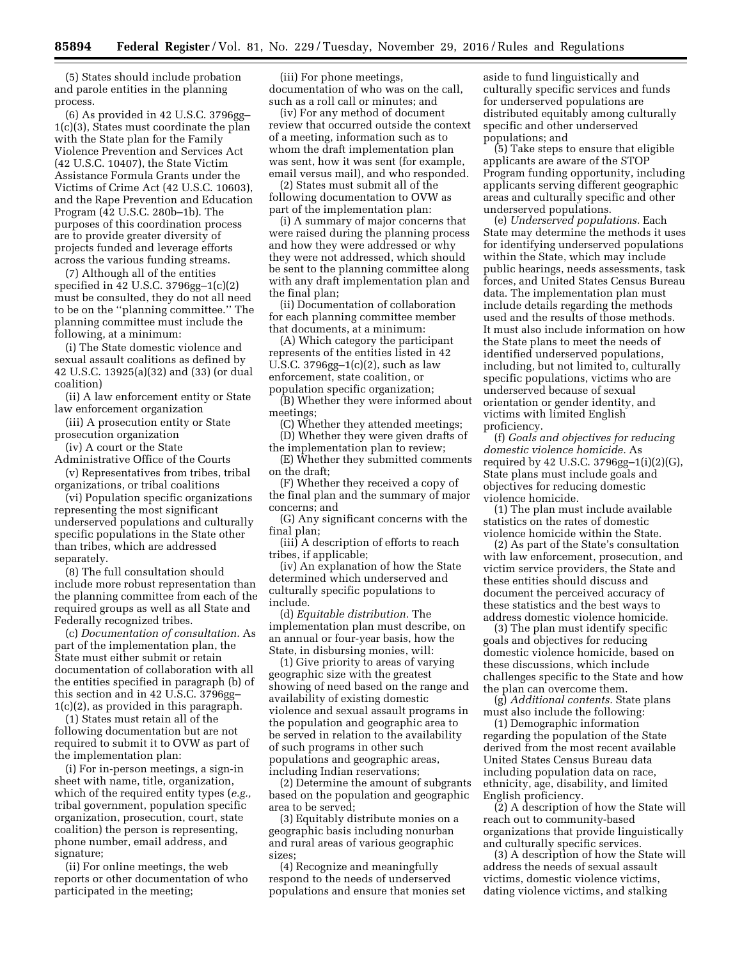(5) States should include probation and parole entities in the planning process.

(6) As provided in 42 U.S.C. 3796gg– 1(c)(3), States must coordinate the plan with the State plan for the Family Violence Prevention and Services Act (42 U.S.C. 10407), the State Victim Assistance Formula Grants under the Victims of Crime Act (42 U.S.C. 10603), and the Rape Prevention and Education Program (42 U.S.C. 280b–1b). The purposes of this coordination process are to provide greater diversity of projects funded and leverage efforts across the various funding streams.

(7) Although all of the entities specified in 42 U.S.C. 3796gg–1(c)(2) must be consulted, they do not all need to be on the ''planning committee.'' The planning committee must include the following, at a minimum:

(i) The State domestic violence and sexual assault coalitions as defined by 42 U.S.C. 13925(a)(32) and (33) (or dual coalition)

(ii) A law enforcement entity or State law enforcement organization

(iii) A prosecution entity or State prosecution organization

(iv) A court or the State

Administrative Office of the Courts (v) Representatives from tribes, tribal

organizations, or tribal coalitions

(vi) Population specific organizations representing the most significant underserved populations and culturally specific populations in the State other than tribes, which are addressed separately.

(8) The full consultation should include more robust representation than the planning committee from each of the required groups as well as all State and Federally recognized tribes.

(c) *Documentation of consultation.* As part of the implementation plan, the State must either submit or retain documentation of collaboration with all the entities specified in paragraph (b) of this section and in 42 U.S.C. 3796gg– 1(c)(2), as provided in this paragraph.

(1) States must retain all of the following documentation but are not required to submit it to OVW as part of the implementation plan:

(i) For in-person meetings, a sign-in sheet with name, title, organization, which of the required entity types (*e.g.,*  tribal government, population specific organization, prosecution, court, state coalition) the person is representing, phone number, email address, and signature;

(ii) For online meetings, the web reports or other documentation of who participated in the meeting;

(iii) For phone meetings, documentation of who was on the call, such as a roll call or minutes; and

(iv) For any method of document review that occurred outside the context of a meeting, information such as to whom the draft implementation plan was sent, how it was sent (for example, email versus mail), and who responded.

(2) States must submit all of the following documentation to OVW as part of the implementation plan:

(i) A summary of major concerns that were raised during the planning process and how they were addressed or why they were not addressed, which should be sent to the planning committee along with any draft implementation plan and the final plan;

(ii) Documentation of collaboration for each planning committee member that documents, at a minimum:

(A) Which category the participant represents of the entities listed in 42 U.S.C. 3796gg–1(c)(2), such as law enforcement, state coalition, or population specific organization;

(B) Whether they were informed about meetings;

(C) Whether they attended meetings; (D) Whether they were given drafts of

the implementation plan to review; (E) Whether they submitted comments on the draft;

(F) Whether they received a copy of the final plan and the summary of major concerns; and

(G) Any significant concerns with the final plan;

(iii) A description of efforts to reach tribes, if applicable;

(iv) An explanation of how the State determined which underserved and culturally specific populations to include.

(d) *Equitable distribution.* The implementation plan must describe, on an annual or four-year basis, how the State, in disbursing monies, will:

(1) Give priority to areas of varying geographic size with the greatest showing of need based on the range and availability of existing domestic violence and sexual assault programs in the population and geographic area to be served in relation to the availability of such programs in other such populations and geographic areas, including Indian reservations;

(2) Determine the amount of subgrants based on the population and geographic area to be served;

(3) Equitably distribute monies on a geographic basis including nonurban and rural areas of various geographic sizes;

(4) Recognize and meaningfully respond to the needs of underserved populations and ensure that monies set

aside to fund linguistically and culturally specific services and funds for underserved populations are distributed equitably among culturally specific and other underserved populations; and

(5) Take steps to ensure that eligible applicants are aware of the STOP Program funding opportunity, including applicants serving different geographic areas and culturally specific and other underserved populations.

(e) *Underserved populations.* Each State may determine the methods it uses for identifying underserved populations within the State, which may include public hearings, needs assessments, task forces, and United States Census Bureau data. The implementation plan must include details regarding the methods used and the results of those methods. It must also include information on how the State plans to meet the needs of identified underserved populations, including, but not limited to, culturally specific populations, victims who are underserved because of sexual orientation or gender identity, and victims with limited English proficiency.

(f) *Goals and objectives for reducing domestic violence homicide.* As required by 42 U.S.C. 3796gg–1(i)(2)(G), State plans must include goals and objectives for reducing domestic violence homicide.

(1) The plan must include available statistics on the rates of domestic violence homicide within the State.

(2) As part of the State's consultation with law enforcement, prosecution, and victim service providers, the State and these entities should discuss and document the perceived accuracy of these statistics and the best ways to address domestic violence homicide.

(3) The plan must identify specific goals and objectives for reducing domestic violence homicide, based on these discussions, which include challenges specific to the State and how the plan can overcome them.

(g) *Additional contents.* State plans must also include the following:

(1) Demographic information regarding the population of the State derived from the most recent available United States Census Bureau data including population data on race, ethnicity, age, disability, and limited English proficiency.

(2) A description of how the State will reach out to community-based organizations that provide linguistically and culturally specific services.

(3) A description of how the State will address the needs of sexual assault victims, domestic violence victims, dating violence victims, and stalking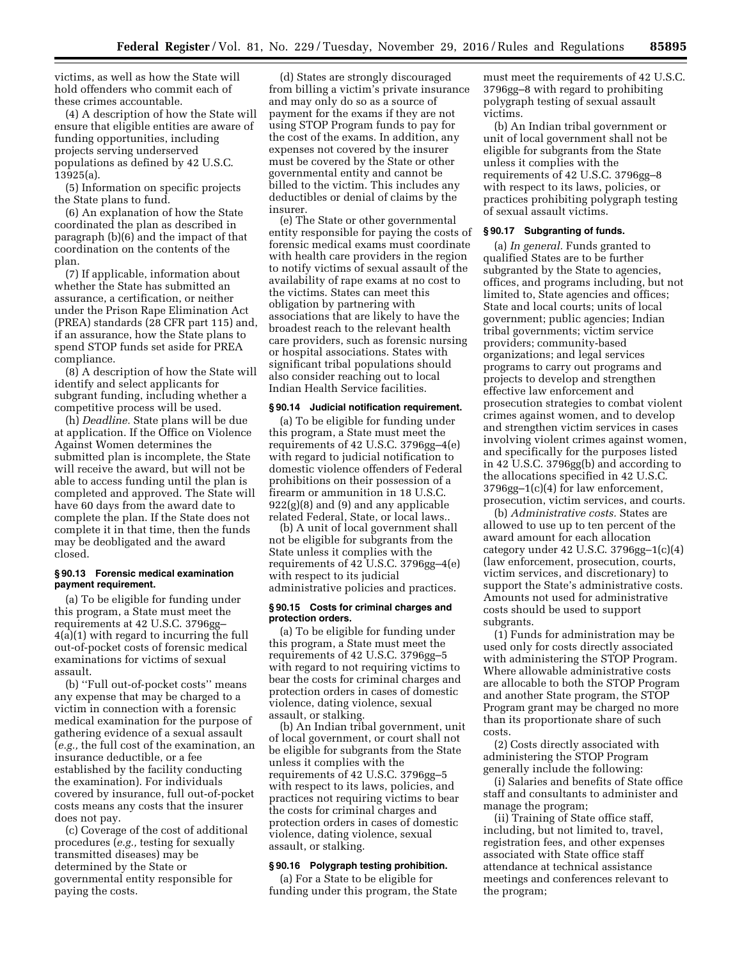victims, as well as how the State will hold offenders who commit each of these crimes accountable.

(4) A description of how the State will ensure that eligible entities are aware of funding opportunities, including projects serving underserved populations as defined by 42 U.S.C. 13925(a).

(5) Information on specific projects the State plans to fund.

(6) An explanation of how the State coordinated the plan as described in paragraph (b)(6) and the impact of that coordination on the contents of the plan.

(7) If applicable, information about whether the State has submitted an assurance, a certification, or neither under the Prison Rape Elimination Act (PREA) standards (28 CFR part 115) and, if an assurance, how the State plans to spend STOP funds set aside for PREA compliance.

(8) A description of how the State will identify and select applicants for subgrant funding, including whether a competitive process will be used.

(h) *Deadline.* State plans will be due at application. If the Office on Violence Against Women determines the submitted plan is incomplete, the State will receive the award, but will not be able to access funding until the plan is completed and approved. The State will have 60 days from the award date to complete the plan. If the State does not complete it in that time, then the funds may be deobligated and the award closed.

### **§ 90.13 Forensic medical examination payment requirement.**

(a) To be eligible for funding under this program, a State must meet the requirements at 42 U.S.C. 3796gg– 4(a)(1) with regard to incurring the full out-of-pocket costs of forensic medical examinations for victims of sexual assault.

(b) ''Full out-of-pocket costs'' means any expense that may be charged to a victim in connection with a forensic medical examination for the purpose of gathering evidence of a sexual assault (*e.g.,* the full cost of the examination, an insurance deductible, or a fee established by the facility conducting the examination). For individuals covered by insurance, full out-of-pocket costs means any costs that the insurer does not pay.

(c) Coverage of the cost of additional procedures (*e.g.,* testing for sexually transmitted diseases) may be determined by the State or governmental entity responsible for paying the costs.

(d) States are strongly discouraged from billing a victim's private insurance and may only do so as a source of payment for the exams if they are not using STOP Program funds to pay for the cost of the exams. In addition, any expenses not covered by the insurer must be covered by the State or other governmental entity and cannot be billed to the victim. This includes any deductibles or denial of claims by the insurer.

(e) The State or other governmental entity responsible for paying the costs of forensic medical exams must coordinate with health care providers in the region to notify victims of sexual assault of the availability of rape exams at no cost to the victims. States can meet this obligation by partnering with associations that are likely to have the broadest reach to the relevant health care providers, such as forensic nursing or hospital associations. States with significant tribal populations should also consider reaching out to local Indian Health Service facilities.

#### **§ 90.14 Judicial notification requirement.**

(a) To be eligible for funding under this program, a State must meet the requirements of 42 U.S.C. 3796gg–4(e) with regard to judicial notification to domestic violence offenders of Federal prohibitions on their possession of a firearm or ammunition in 18 U.S.C.  $922(g)(8)$  and  $(9)$  and any applicable related Federal, State, or local laws..

(b) A unit of local government shall not be eligible for subgrants from the State unless it complies with the requirements of 42 U.S.C. 3796gg–4(e) with respect to its judicial administrative policies and practices.

### **§ 90.15 Costs for criminal charges and protection orders.**

(a) To be eligible for funding under this program, a State must meet the requirements of 42 U.S.C. 3796gg–5 with regard to not requiring victims to bear the costs for criminal charges and protection orders in cases of domestic violence, dating violence, sexual assault, or stalking.

(b) An Indian tribal government, unit of local government, or court shall not be eligible for subgrants from the State unless it complies with the requirements of 42 U.S.C. 3796gg–5 with respect to its laws, policies, and practices not requiring victims to bear the costs for criminal charges and protection orders in cases of domestic violence, dating violence, sexual assault, or stalking.

#### **§ 90.16 Polygraph testing prohibition.**

(a) For a State to be eligible for funding under this program, the State must meet the requirements of 42 U.S.C. 3796gg–8 with regard to prohibiting polygraph testing of sexual assault victims.

(b) An Indian tribal government or unit of local government shall not be eligible for subgrants from the State unless it complies with the requirements of 42 U.S.C. 3796gg–8 with respect to its laws, policies, or practices prohibiting polygraph testing of sexual assault victims.

### **§ 90.17 Subgranting of funds.**

(a) *In general.* Funds granted to qualified States are to be further subgranted by the State to agencies, offices, and programs including, but not limited to, State agencies and offices; State and local courts; units of local government; public agencies; Indian tribal governments; victim service providers; community-based organizations; and legal services programs to carry out programs and projects to develop and strengthen effective law enforcement and prosecution strategies to combat violent crimes against women, and to develop and strengthen victim services in cases involving violent crimes against women, and specifically for the purposes listed in 42 U.S.C. 3796gg(b) and according to the allocations specified in 42 U.S.C. 3796gg–1(c)(4) for law enforcement, prosecution, victim services, and courts.

(b) *Administrative costs.* States are allowed to use up to ten percent of the award amount for each allocation category under 42 U.S.C.  $3796gg-1(c)(4)$ (law enforcement, prosecution, courts, victim services, and discretionary) to support the State's administrative costs. Amounts not used for administrative costs should be used to support subgrants.

(1) Funds for administration may be used only for costs directly associated with administering the STOP Program. Where allowable administrative costs are allocable to both the STOP Program and another State program, the STOP Program grant may be charged no more than its proportionate share of such costs.

(2) Costs directly associated with administering the STOP Program generally include the following:

(i) Salaries and benefits of State office staff and consultants to administer and manage the program;

(ii) Training of State office staff, including, but not limited to, travel, registration fees, and other expenses associated with State office staff attendance at technical assistance meetings and conferences relevant to the program;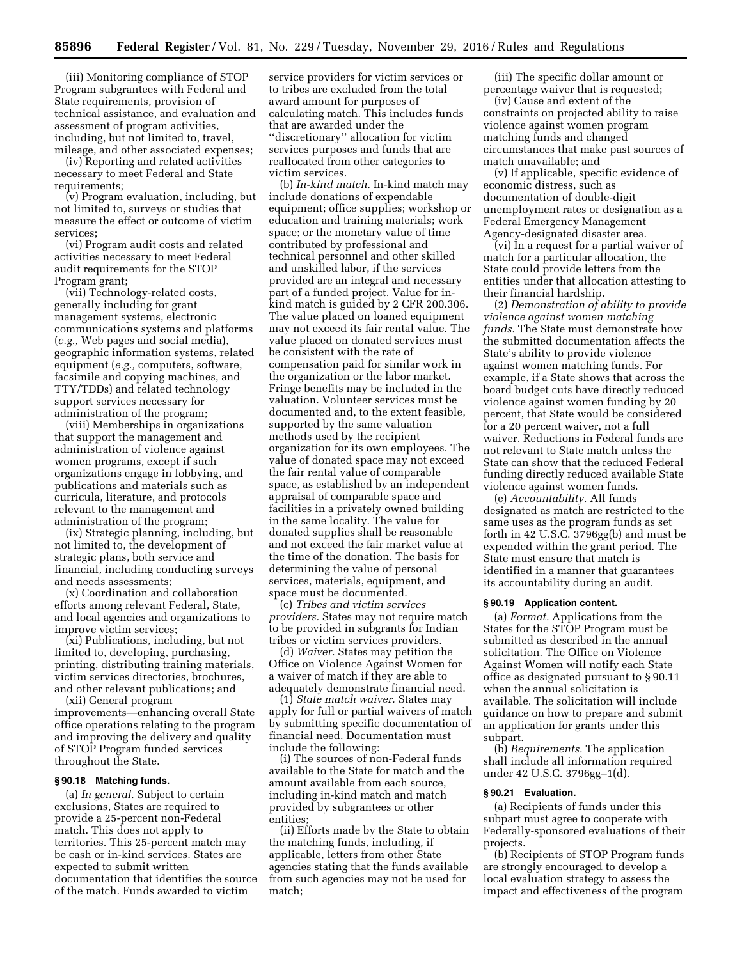(iii) Monitoring compliance of STOP Program subgrantees with Federal and State requirements, provision of technical assistance, and evaluation and assessment of program activities, including, but not limited to, travel, mileage, and other associated expenses;

(iv) Reporting and related activities necessary to meet Federal and State requirements;

(v) Program evaluation, including, but not limited to, surveys or studies that measure the effect or outcome of victim services;

(vi) Program audit costs and related activities necessary to meet Federal audit requirements for the STOP Program grant;

(vii) Technology-related costs, generally including for grant management systems, electronic communications systems and platforms (*e.g.,* Web pages and social media), geographic information systems, related equipment (*e.g.,* computers, software, facsimile and copying machines, and TTY/TDDs) and related technology support services necessary for administration of the program;

(viii) Memberships in organizations that support the management and administration of violence against women programs, except if such organizations engage in lobbying, and publications and materials such as curricula, literature, and protocols relevant to the management and administration of the program;

(ix) Strategic planning, including, but not limited to, the development of strategic plans, both service and financial, including conducting surveys and needs assessments;

(x) Coordination and collaboration efforts among relevant Federal, State, and local agencies and organizations to improve victim services;

(xi) Publications, including, but not limited to, developing, purchasing, printing, distributing training materials, victim services directories, brochures, and other relevant publications; and

(xii) General program improvements—enhancing overall State office operations relating to the program and improving the delivery and quality of STOP Program funded services throughout the State.

### **§ 90.18 Matching funds.**

(a) *In general.* Subject to certain exclusions, States are required to provide a 25-percent non-Federal match. This does not apply to territories. This 25-percent match may be cash or in-kind services. States are expected to submit written documentation that identifies the source of the match. Funds awarded to victim

service providers for victim services or to tribes are excluded from the total award amount for purposes of calculating match. This includes funds that are awarded under the ''discretionary'' allocation for victim services purposes and funds that are reallocated from other categories to victim services.

(b) *In-kind match.* In-kind match may include donations of expendable equipment; office supplies; workshop or education and training materials; work space; or the monetary value of time contributed by professional and technical personnel and other skilled and unskilled labor, if the services provided are an integral and necessary part of a funded project. Value for inkind match is guided by 2 CFR 200.306. The value placed on loaned equipment may not exceed its fair rental value. The value placed on donated services must be consistent with the rate of compensation paid for similar work in the organization or the labor market. Fringe benefits may be included in the valuation. Volunteer services must be documented and, to the extent feasible, supported by the same valuation methods used by the recipient organization for its own employees. The value of donated space may not exceed the fair rental value of comparable space, as established by an independent appraisal of comparable space and facilities in a privately owned building in the same locality. The value for donated supplies shall be reasonable and not exceed the fair market value at the time of the donation. The basis for determining the value of personal services, materials, equipment, and space must be documented.

(c) *Tribes and victim services providers.* States may not require match to be provided in subgrants for Indian tribes or victim services providers.

(d) *Waiver.* States may petition the Office on Violence Against Women for a waiver of match if they are able to adequately demonstrate financial need.

(1) *State match waiver.* States may apply for full or partial waivers of match by submitting specific documentation of financial need. Documentation must include the following:

(i) The sources of non-Federal funds available to the State for match and the amount available from each source, including in-kind match and match provided by subgrantees or other entities;

(ii) Efforts made by the State to obtain the matching funds, including, if applicable, letters from other State agencies stating that the funds available from such agencies may not be used for match;

(iii) The specific dollar amount or percentage waiver that is requested;

(iv) Cause and extent of the constraints on projected ability to raise violence against women program matching funds and changed circumstances that make past sources of match unavailable; and

(v) If applicable, specific evidence of economic distress, such as documentation of double-digit unemployment rates or designation as a Federal Emergency Management Agency-designated disaster area.

(vi) In a request for a partial waiver of match for a particular allocation, the State could provide letters from the entities under that allocation attesting to their financial hardship.

(2) *Demonstration of ability to provide violence against women matching funds.* The State must demonstrate how the submitted documentation affects the State's ability to provide violence against women matching funds. For example, if a State shows that across the board budget cuts have directly reduced violence against women funding by 20 percent, that State would be considered for a 20 percent waiver, not a full waiver. Reductions in Federal funds are not relevant to State match unless the State can show that the reduced Federal funding directly reduced available State violence against women funds.

(e) *Accountability.* All funds designated as match are restricted to the same uses as the program funds as set forth in 42 U.S.C. 3796gg(b) and must be expended within the grant period. The State must ensure that match is identified in a manner that guarantees its accountability during an audit.

#### **§ 90.19 Application content.**

(a) *Format.* Applications from the States for the STOP Program must be submitted as described in the annual solicitation. The Office on Violence Against Women will notify each State office as designated pursuant to § 90.11 when the annual solicitation is available. The solicitation will include guidance on how to prepare and submit an application for grants under this subpart.

(b) *Requirements.* The application shall include all information required under 42 U.S.C. 3796gg–1(d).

### **§ 90.21 Evaluation.**

(a) Recipients of funds under this subpart must agree to cooperate with Federally-sponsored evaluations of their projects.

(b) Recipients of STOP Program funds are strongly encouraged to develop a local evaluation strategy to assess the impact and effectiveness of the program